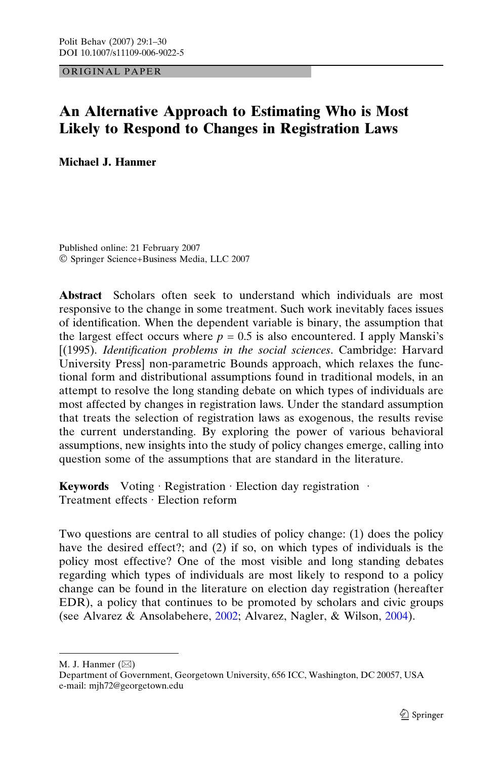ORIGINAL PAPER

# An Alternative Approach to Estimating Who is Most Likely to Respond to Changes in Registration Laws

Michael J. Hanmer

Published online: 21 February 2007 Springer Science+Business Media, LLC 2007

Abstract Scholars often seek to understand which individuals are most responsive to the change in some treatment. Such work inevitably faces issues of identification. When the dependent variable is binary, the assumption that the largest effect occurs where  $p = 0.5$  is also encountered. I apply Manski's [(1995). Identification problems in the social sciences. Cambridge: Harvard University Press] non-parametric Bounds approach, which relaxes the functional form and distributional assumptions found in traditional models, in an attempt to resolve the long standing debate on which types of individuals are most affected by changes in registration laws. Under the standard assumption that treats the selection of registration laws as exogenous, the results revise the current understanding. By exploring the power of various behavioral assumptions, new insights into the study of policy changes emerge, calling into question some of the assumptions that are standard in the literature.

**Keywords** Voting Registration Election day registration Treatment effects · Election reform

Two questions are central to all studies of policy change: (1) does the policy have the desired effect?; and (2) if so, on which types of individuals is the policy most effective? One of the most visible and long standing debates regarding which types of individuals are most likely to respond to a policy change can be found in the literature on election day registration (hereafter EDR), a policy that continues to be promoted by scholars and civic groups (see Alvarez & Ansolabehere, [2002;](#page-28-0) Alvarez, Nagler, & Wilson, [2004](#page-28-0)).

M. J. Hanmer  $(\boxtimes)$ 

Department of Government, Georgetown University, 656 ICC, Washington, DC 20057, USA e-mail: mjh72@georgetown.edu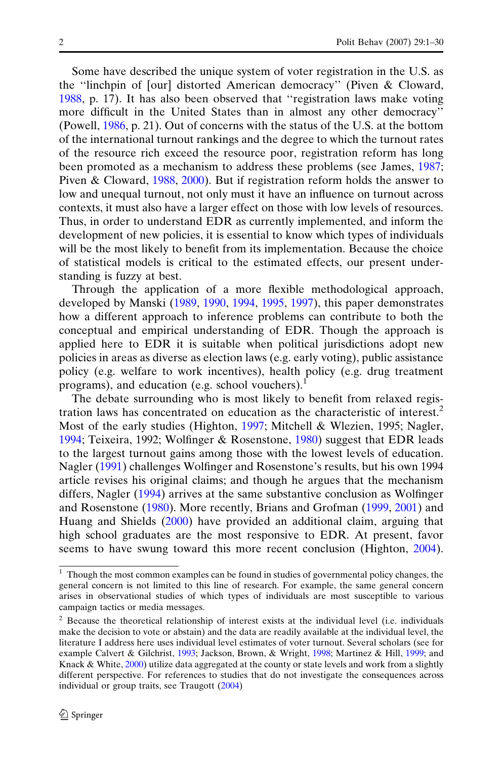Some have described the unique system of voter registration in the U.S. as the ''linchpin of [our] distorted American democracy'' (Piven & Cloward, [1988,](#page-29-0) p. 17). It has also been observed that ''registration laws make voting more difficult in the United States than in almost any other democracy'' (Powell, [1986](#page-29-0), p. 21). Out of concerns with the status of the U.S. at the bottom of the international turnout rankings and the degree to which the turnout rates of the resource rich exceed the resource poor, registration reform has long been promoted as a mechanism to address these problems (see James, [1987;](#page-28-0) Piven & Cloward, [1988,](#page-29-0) [2000](#page-29-0)). But if registration reform holds the answer to low and unequal turnout, not only must it have an influence on turnout across contexts, it must also have a larger effect on those with low levels of resources. Thus, in order to understand EDR as currently implemented, and inform the development of new policies, it is essential to know which types of individuals will be the most likely to benefit from its implementation. Because the choice of statistical models is critical to the estimated effects, our present understanding is fuzzy at best.

Through the application of a more flexible methodological approach, developed by Manski ([1989,](#page-28-0) [1990](#page-29-0), [1994,](#page-29-0) [1995](#page-29-0), [1997](#page-29-0)), this paper demonstrates how a different approach to inference problems can contribute to both the conceptual and empirical understanding of EDR. Though the approach is applied here to EDR it is suitable when political jurisdictions adopt new policies in areas as diverse as election laws (e.g. early voting), public assistance policy (e.g. welfare to work incentives), health policy (e.g. drug treatment programs), and education (e.g. school vouchers). $<sup>1</sup>$ </sup>

The debate surrounding who is most likely to benefit from relaxed registration laws has concentrated on education as the characteristic of interest.<sup>2</sup> Most of the early studies (Highton, [1997;](#page-28-0) Mitchell & Wlezien, 1995; Nagler, [1994;](#page-29-0) Teixeira, 1992; Wolfinger & Rosenstone, [1980\)](#page-29-0) suggest that EDR leads to the largest turnout gains among those with the lowest levels of education. Nagler [\(1991](#page-29-0)) challenges Wolfinger and Rosenstone's results, but his own 1994 article revises his original claims; and though he argues that the mechanism differs, Nagler [\(1994](#page-29-0)) arrives at the same substantive conclusion as Wolfinger and Rosenstone [\(1980](#page-29-0)). More recently, Brians and Grofman [\(1999](#page-28-0), [2001](#page-28-0)) and Huang and Shields [\(2000](#page-28-0)) have provided an additional claim, arguing that high school graduates are the most responsive to EDR. At present, favor seems to have swung toward this more recent conclusion (Highton, [2004\)](#page-28-0).

 $1$  Though the most common examples can be found in studies of governmental policy changes, the general concern is not limited to this line of research. For example, the same general concern arises in observational studies of which types of individuals are most susceptible to various campaign tactics or media messages.

 $2^2$  Because the theoretical relationship of interest exists at the individual level (i.e. individuals make the decision to vote or abstain) and the data are readily available at the individual level, the literature I address here uses individual level estimates of voter turnout. Several scholars (see for example Calvert & Gilchrist, [1993;](#page-28-0) Jackson, Brown, & Wright, [1998](#page-28-0); Martinez & Hill, [1999;](#page-29-0) and Knack & White, [2000\)](#page-28-0) utilize data aggregated at the county or state levels and work from a slightly different perspective. For references to studies that do not investigate the consequences across individual or group traits, see Traugott ([2004\)](#page-29-0)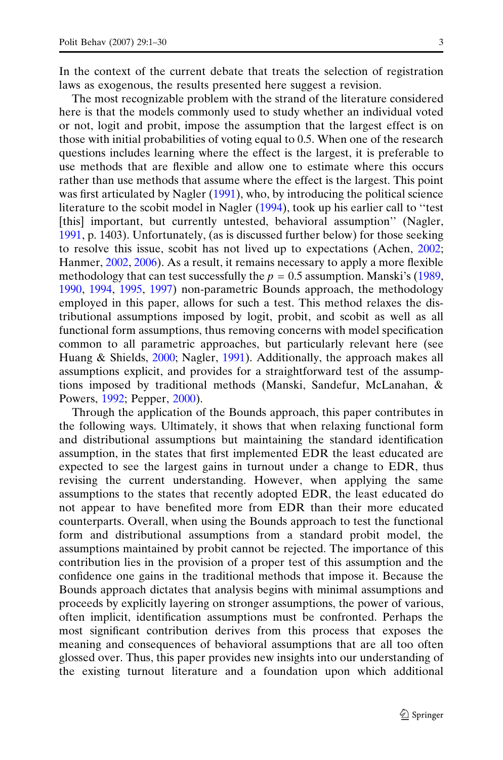In the context of the current debate that treats the selection of registration laws as exogenous, the results presented here suggest a revision.

The most recognizable problem with the strand of the literature considered here is that the models commonly used to study whether an individual voted or not, logit and probit, impose the assumption that the largest effect is on those with initial probabilities of voting equal to 0.5. When one of the research questions includes learning where the effect is the largest, it is preferable to use methods that are flexible and allow one to estimate where this occurs rather than use methods that assume where the effect is the largest. This point was first articulated by Nagler [\(1991](#page-29-0)), who, by introducing the political science literature to the scobit model in Nagler ([1994\)](#page-29-0), took up his earlier call to ''test [this] important, but currently untested, behavioral assumption'' (Nagler, [1991,](#page-29-0) p. 1403). Unfortunately, (as is discussed further below) for those seeking to resolve this issue, scobit has not lived up to expectations (Achen, [2002;](#page-28-0) Hanmer, [2002,](#page-28-0) [2006\)](#page-28-0). As a result, it remains necessary to apply a more flexible methodology that can test successfully the  $p = 0.5$  assumption. Manski's ([1989,](#page-28-0) [1990,](#page-29-0) [1994](#page-29-0), [1995,](#page-29-0) [1997](#page-29-0)) non-parametric Bounds approach, the methodology employed in this paper, allows for such a test. This method relaxes the distributional assumptions imposed by logit, probit, and scobit as well as all functional form assumptions, thus removing concerns with model specification common to all parametric approaches, but particularly relevant here (see Huang & Shields, [2000;](#page-28-0) Nagler, [1991](#page-29-0)). Additionally, the approach makes all assumptions explicit, and provides for a straightforward test of the assumptions imposed by traditional methods (Manski, Sandefur, McLanahan, & Powers, [1992](#page-29-0); Pepper, [2000\)](#page-29-0).

Through the application of the Bounds approach, this paper contributes in the following ways. Ultimately, it shows that when relaxing functional form and distributional assumptions but maintaining the standard identification assumption, in the states that first implemented EDR the least educated are expected to see the largest gains in turnout under a change to EDR, thus revising the current understanding. However, when applying the same assumptions to the states that recently adopted EDR, the least educated do not appear to have benefited more from EDR than their more educated counterparts. Overall, when using the Bounds approach to test the functional form and distributional assumptions from a standard probit model, the assumptions maintained by probit cannot be rejected. The importance of this contribution lies in the provision of a proper test of this assumption and the confidence one gains in the traditional methods that impose it. Because the Bounds approach dictates that analysis begins with minimal assumptions and proceeds by explicitly layering on stronger assumptions, the power of various, often implicit, identification assumptions must be confronted. Perhaps the most significant contribution derives from this process that exposes the meaning and consequences of behavioral assumptions that are all too often glossed over. Thus, this paper provides new insights into our understanding of the existing turnout literature and a foundation upon which additional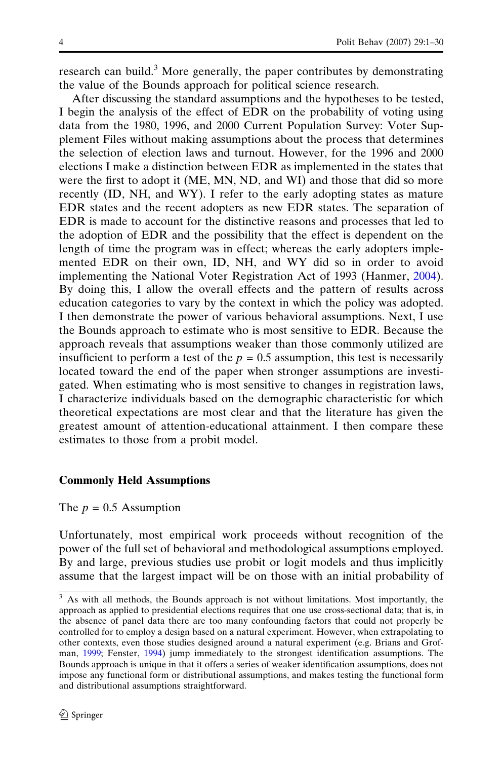research can build.<sup>3</sup> More generally, the paper contributes by demonstrating the value of the Bounds approach for political science research.

After discussing the standard assumptions and the hypotheses to be tested, I begin the analysis of the effect of EDR on the probability of voting using data from the 1980, 1996, and 2000 Current Population Survey: Voter Supplement Files without making assumptions about the process that determines the selection of election laws and turnout. However, for the 1996 and 2000 elections I make a distinction between EDR as implemented in the states that were the first to adopt it (ME, MN, ND, and WI) and those that did so more recently (ID, NH, and WY). I refer to the early adopting states as mature EDR states and the recent adopters as new EDR states. The separation of EDR is made to account for the distinctive reasons and processes that led to the adoption of EDR and the possibility that the effect is dependent on the length of time the program was in effect; whereas the early adopters implemented EDR on their own, ID, NH, and WY did so in order to avoid implementing the National Voter Registration Act of 1993 (Hanmer, [2004\)](#page-28-0). By doing this, I allow the overall effects and the pattern of results across education categories to vary by the context in which the policy was adopted. I then demonstrate the power of various behavioral assumptions. Next, I use the Bounds approach to estimate who is most sensitive to EDR. Because the approach reveals that assumptions weaker than those commonly utilized are insufficient to perform a test of the  $p = 0.5$  assumption, this test is necessarily located toward the end of the paper when stronger assumptions are investigated. When estimating who is most sensitive to changes in registration laws, I characterize individuals based on the demographic characteristic for which theoretical expectations are most clear and that the literature has given the greatest amount of attention-educational attainment. I then compare these estimates to those from a probit model.

#### Commonly Held Assumptions

The  $p = 0.5$  Assumption

Unfortunately, most empirical work proceeds without recognition of the power of the full set of behavioral and methodological assumptions employed. By and large, previous studies use probit or logit models and thus implicitly assume that the largest impact will be on those with an initial probability of

<sup>&</sup>lt;sup>3</sup> As with all methods, the Bounds approach is not without limitations. Most importantly, the approach as applied to presidential elections requires that one use cross-sectional data; that is, in the absence of panel data there are too many confounding factors that could not properly be controlled for to employ a design based on a natural experiment. However, when extrapolating to other contexts, even those studies designed around a natural experiment (e.g. Brians and Grofman, [1999;](#page-28-0) Fenster, [1994](#page-28-0)) jump immediately to the strongest identification assumptions. The Bounds approach is unique in that it offers a series of weaker identification assumptions, does not impose any functional form or distributional assumptions, and makes testing the functional form and distributional assumptions straightforward.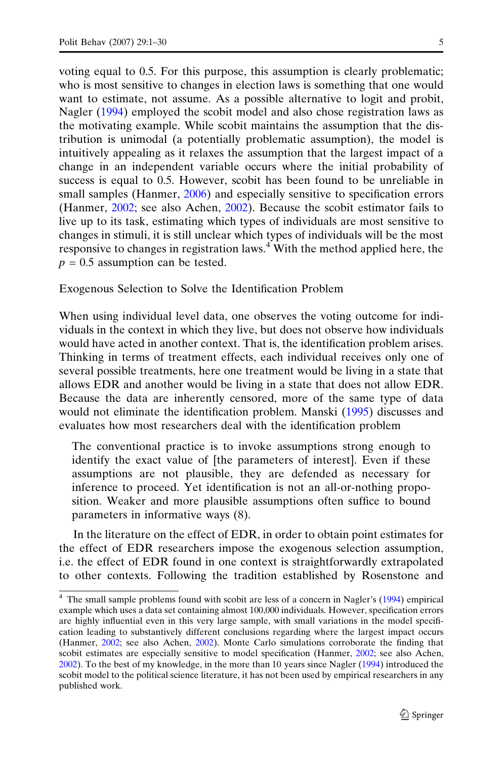voting equal to 0.5. For this purpose, this assumption is clearly problematic; who is most sensitive to changes in election laws is something that one would want to estimate, not assume. As a possible alternative to logit and probit, Nagler [\(1994](#page-29-0)) employed the scobit model and also chose registration laws as the motivating example. While scobit maintains the assumption that the distribution is unimodal (a potentially problematic assumption), the model is intuitively appealing as it relaxes the assumption that the largest impact of a change in an independent variable occurs where the initial probability of success is equal to 0.5. However, scobit has been found to be unreliable in small samples (Hanmer, [2006](#page-28-0)) and especially sensitive to specification errors (Hanmer, [2002;](#page-28-0) see also Achen, [2002\)](#page-28-0). Because the scobit estimator fails to live up to its task, estimating which types of individuals are most sensitive to changes in stimuli, it is still unclear which types of individuals will be the most responsive to changes in registration laws.<sup>4</sup> With the method applied here, the  $p = 0.5$  assumption can be tested.

Exogenous Selection to Solve the Identification Problem

When using individual level data, one observes the voting outcome for individuals in the context in which they live, but does not observe how individuals would have acted in another context. That is, the identification problem arises. Thinking in terms of treatment effects, each individual receives only one of several possible treatments, here one treatment would be living in a state that allows EDR and another would be living in a state that does not allow EDR. Because the data are inherently censored, more of the same type of data would not eliminate the identification problem. Manski ([1995\)](#page-29-0) discusses and evaluates how most researchers deal with the identification problem

The conventional practice is to invoke assumptions strong enough to identify the exact value of [the parameters of interest]. Even if these assumptions are not plausible, they are defended as necessary for inference to proceed. Yet identification is not an all-or-nothing proposition. Weaker and more plausible assumptions often suffice to bound parameters in informative ways (8).

In the literature on the effect of EDR, in order to obtain point estimates for the effect of EDR researchers impose the exogenous selection assumption, i.e. the effect of EDR found in one context is straightforwardly extrapolated to other contexts. Following the tradition established by Rosenstone and

<sup>&</sup>lt;sup>4</sup> The small sample problems found with scobit are less of a concern in Nagler's ([1994](#page-29-0)) empirical example which uses a data set containing almost 100,000 individuals. However, specification errors are highly influential even in this very large sample, with small variations in the model specification leading to substantively different conclusions regarding where the largest impact occurs (Hanmer, [2002](#page-28-0); see also Achen, [2002](#page-28-0)). Monte Carlo simulations corroborate the finding that scobit estimates are especially sensitive to model specification (Hanmer, [2002](#page-28-0); see also Achen, [2002\)](#page-28-0). To the best of my knowledge, in the more than 10 years since Nagler ([1994](#page-29-0)) introduced the scobit model to the political science literature, it has not been used by empirical researchers in any published work.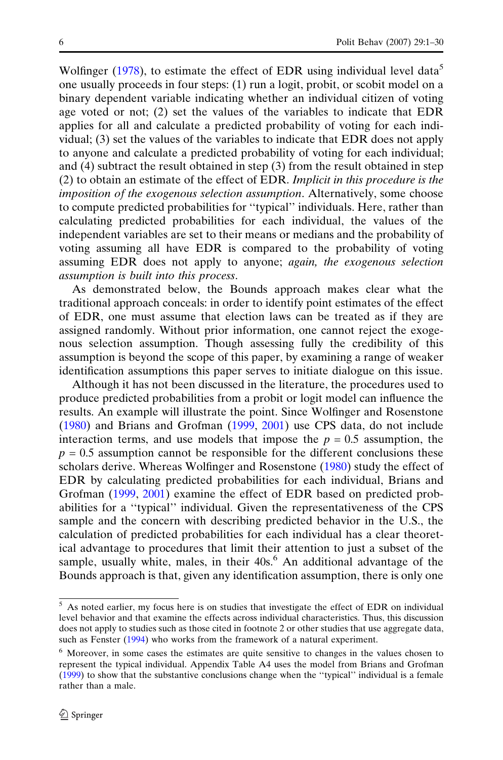Wolfinger [\(1978](#page-29-0)), to estimate the effect of EDR using individual level data<sup>5</sup> one usually proceeds in four steps: (1) run a logit, probit, or scobit model on a binary dependent variable indicating whether an individual citizen of voting age voted or not; (2) set the values of the variables to indicate that EDR applies for all and calculate a predicted probability of voting for each individual; (3) set the values of the variables to indicate that EDR does not apply to anyone and calculate a predicted probability of voting for each individual; and (4) subtract the result obtained in step (3) from the result obtained in step (2) to obtain an estimate of the effect of EDR. Implicit in this procedure is the imposition of the exogenous selection assumption. Alternatively, some choose to compute predicted probabilities for ''typical'' individuals. Here, rather than calculating predicted probabilities for each individual, the values of the independent variables are set to their means or medians and the probability of voting assuming all have EDR is compared to the probability of voting assuming EDR does not apply to anyone; again, the exogenous selection assumption is built into this process.

As demonstrated below, the Bounds approach makes clear what the traditional approach conceals: in order to identify point estimates of the effect of EDR, one must assume that election laws can be treated as if they are assigned randomly. Without prior information, one cannot reject the exogenous selection assumption. Though assessing fully the credibility of this assumption is beyond the scope of this paper, by examining a range of weaker identification assumptions this paper serves to initiate dialogue on this issue.

Although it has not been discussed in the literature, the procedures used to produce predicted probabilities from a probit or logit model can influence the results. An example will illustrate the point. Since Wolfinger and Rosenstone ([1980\)](#page-29-0) and Brians and Grofman [\(1999](#page-28-0), [2001\)](#page-28-0) use CPS data, do not include interaction terms, and use models that impose the  $p = 0.5$  assumption, the  $p = 0.5$  assumption cannot be responsible for the different conclusions these scholars derive. Whereas Wolfinger and Rosenstone [\(1980](#page-29-0)) study the effect of EDR by calculating predicted probabilities for each individual, Brians and Grofman [\(1999](#page-28-0), [2001](#page-28-0)) examine the effect of EDR based on predicted probabilities for a ''typical'' individual. Given the representativeness of the CPS sample and the concern with describing predicted behavior in the U.S., the calculation of predicted probabilities for each individual has a clear theoretical advantage to procedures that limit their attention to just a subset of the sample, usually white, males, in their 40s.<sup>6</sup> An additional advantage of the Bounds approach is that, given any identification assumption, there is only one

 $5$  As noted earlier, my focus here is on studies that investigate the effect of EDR on individual level behavior and that examine the effects across individual characteristics. Thus, this discussion does not apply to studies such as those cited in footnote 2 or other studies that use aggregate data, such as Fenster [\(1994](#page-28-0)) who works from the framework of a natural experiment.

<sup>6</sup> Moreover, in some cases the estimates are quite sensitive to changes in the values chosen to represent the typical individual. Appendix Table A4 uses the model from Brians and Grofman ([1999\)](#page-28-0) to show that the substantive conclusions change when the ''typical'' individual is a female rather than a male.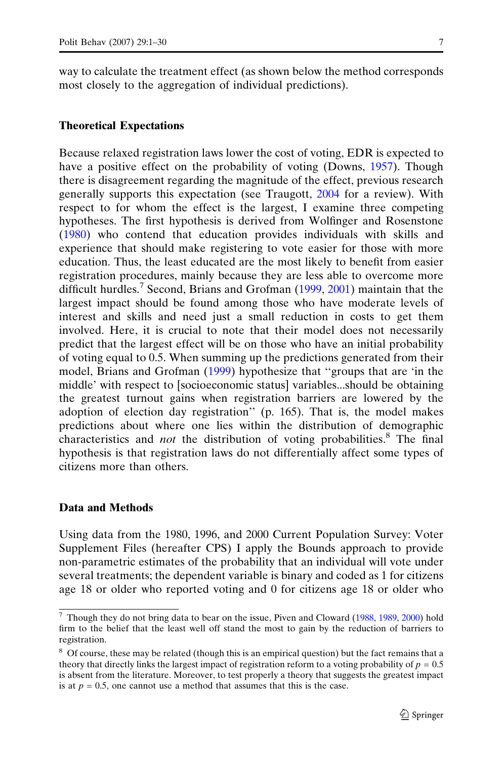way to calculate the treatment effect (as shown below the method corresponds most closely to the aggregation of individual predictions).

#### Theoretical Expectations

Because relaxed registration laws lower the cost of voting, EDR is expected to have a positive effect on the probability of voting (Downs, [1957\)](#page-28-0). Though there is disagreement regarding the magnitude of the effect, previous research generally supports this expectation (see Traugott, [2004](#page-29-0) for a review). With respect to for whom the effect is the largest, I examine three competing hypotheses. The first hypothesis is derived from Wolfinger and Rosenstone ([1980\)](#page-29-0) who contend that education provides individuals with skills and experience that should make registering to vote easier for those with more education. Thus, the least educated are the most likely to benefit from easier registration procedures, mainly because they are less able to overcome more difficult hurdles.<sup>7</sup> Second, Brians and Grofman [\(1999](#page-28-0), [2001\)](#page-28-0) maintain that the largest impact should be found among those who have moderate levels of interest and skills and need just a small reduction in costs to get them involved. Here, it is crucial to note that their model does not necessarily predict that the largest effect will be on those who have an initial probability of voting equal to 0.5. When summing up the predictions generated from their model, Brians and Grofman ([1999\)](#page-28-0) hypothesize that ''groups that are 'in the middle' with respect to [socioeconomic status] variables...should be obtaining the greatest turnout gains when registration barriers are lowered by the adoption of election day registration'' (p. 165). That is, the model makes predictions about where one lies within the distribution of demographic characteristics and *not* the distribution of voting probabilities.<sup>8</sup> The final hypothesis is that registration laws do not differentially affect some types of citizens more than others.

## Data and Methods

Using data from the 1980, 1996, and 2000 Current Population Survey: Voter Supplement Files (hereafter CPS) I apply the Bounds approach to provide non-parametric estimates of the probability that an individual will vote under several treatments; the dependent variable is binary and coded as 1 for citizens age 18 or older who reported voting and 0 for citizens age 18 or older who

 $7$  Though they do not bring data to bear on the issue, Piven and Cloward [\(1988,](#page-29-0) [1989](#page-29-0), [2000](#page-29-0)) hold firm to the belief that the least well off stand the most to gain by the reduction of barriers to registration.

<sup>&</sup>lt;sup>8</sup> Of course, these may be related (though this is an empirical question) but the fact remains that a theory that directly links the largest impact of registration reform to a voting probability of  $p = 0.5$ is absent from the literature. Moreover, to test properly a theory that suggests the greatest impact is at  $p = 0.5$ , one cannot use a method that assumes that this is the case.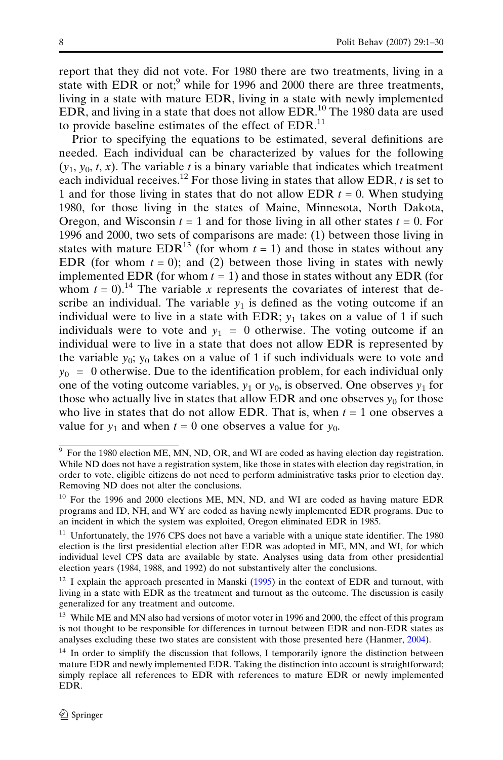report that they did not vote. For 1980 there are two treatments, living in a state with EDR or not;<sup>9</sup> while for 1996 and 2000 there are three treatments, living in a state with mature EDR, living in a state with newly implemented EDR, and living in a state that does not allow EDR.<sup>10</sup> The 1980 data are used to provide baseline estimates of the effect of  $EDR$ <sup>11</sup>

Prior to specifying the equations to be estimated, several definitions are needed. Each individual can be characterized by values for the following  $(y_1, y_0, t, x)$ . The variable t is a binary variable that indicates which treatment each individual receives.<sup>12</sup> For those living in states that allow EDR,  $t$  is set to 1 and for those living in states that do not allow EDR  $t = 0$ . When studying 1980, for those living in the states of Maine, Minnesota, North Dakota, Oregon, and Wisconsin  $t = 1$  and for those living in all other states  $t = 0$ . For 1996 and 2000, two sets of comparisons are made: (1) between those living in states with mature  $EDR<sup>13</sup>$  (for whom  $t = 1$ ) and those in states without any EDR (for whom  $t = 0$ ); and (2) between those living in states with newly implemented EDR (for whom  $t = 1$ ) and those in states without any EDR (for whom  $t = 0$ .<sup>14</sup> The variable x represents the covariates of interest that describe an individual. The variable  $y_1$  is defined as the voting outcome if an individual were to live in a state with EDR;  $y_1$  takes on a value of 1 if such individuals were to vote and  $y_1 = 0$  otherwise. The voting outcome if an individual were to live in a state that does not allow EDR is represented by the variable  $y_0$ ;  $y_0$  takes on a value of 1 if such individuals were to vote and  $y_0 = 0$  otherwise. Due to the identification problem, for each individual only one of the voting outcome variables,  $y_1$  or  $y_0$ , is observed. One observes  $y_1$  for those who actually live in states that allow EDR and one observes  $y_0$  for those who live in states that do not allow EDR. That is, when  $t = 1$  one observes a value for  $y_1$  and when  $t = 0$  one observes a value for  $y_0$ .

 $9\,$  For the 1980 election ME, MN, ND, OR, and WI are coded as having election day registration. While ND does not have a registration system, like those in states with election day registration, in order to vote, eligible citizens do not need to perform administrative tasks prior to election day. Removing ND does not alter the conclusions.

<sup>&</sup>lt;sup>10</sup> For the 1996 and 2000 elections ME, MN, ND, and WI are coded as having mature EDR programs and ID, NH, and WY are coded as having newly implemented EDR programs. Due to an incident in which the system was exploited, Oregon eliminated EDR in 1985.

 $11$  Unfortunately, the 1976 CPS does not have a variable with a unique state identifier. The 1980 election is the first presidential election after EDR was adopted in ME, MN, and WI, for which individual level CPS data are available by state. Analyses using data from other presidential election years (1984, 1988, and 1992) do not substantively alter the conclusions.

 $12$  I explain the approach presented in Manski ([1995](#page-29-0)) in the context of EDR and turnout, with living in a state with EDR as the treatment and turnout as the outcome. The discussion is easily generalized for any treatment and outcome.

<sup>&</sup>lt;sup>13</sup> While ME and MN also had versions of motor voter in 1996 and 2000, the effect of this program is not thought to be responsible for differences in turnout between EDR and non-EDR states as analyses excluding these two states are consistent with those presented here (Hanmer, [2004](#page-28-0)).

<sup>&</sup>lt;sup>14</sup> In order to simplify the discussion that follows, I temporarily ignore the distinction between mature EDR and newly implemented EDR. Taking the distinction into account is straightforward; simply replace all references to EDR with references to mature EDR or newly implemented EDR.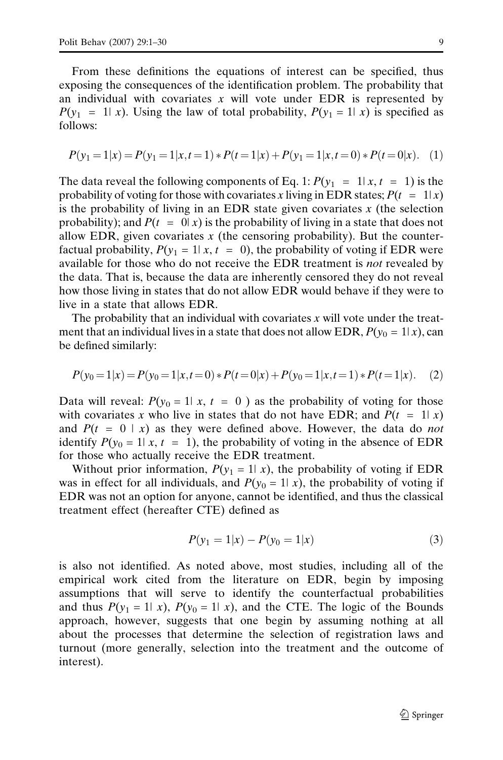From these definitions the equations of interest can be specified, thus exposing the consequences of the identification problem. The probability that an individual with covariates  $x$  will vote under EDR is represented by  $P(y_1 = 1 | x)$ . Using the law of total probability,  $P(y_1 = 1 | x)$  is specified as follows:

$$
P(y_1 = 1|x) = P(y_1 = 1|x, t = 1) * P(t = 1|x) + P(y_1 = 1|x, t = 0) * P(t = 0|x). \quad (1)
$$

The data reveal the following components of Eq. 1:  $P(y_1 = 1 | x, t = 1)$  is the probability of voting for those with covariates x living in EDR states;  $P(t = 1|x)$ is the probability of living in an EDR state given covariates  $x$  (the selection probability); and  $P(t = 0|x)$  is the probability of living in a state that does not allow EDR, given covariates  $x$  (the censoring probability). But the counterfactual probability,  $P(y_1 = 1 | x, t = 0)$ , the probability of voting if EDR were available for those who do not receive the EDR treatment is not revealed by the data. That is, because the data are inherently censored they do not reveal how those living in states that do not allow EDR would behave if they were to live in a state that allows EDR.

The probability that an individual with covariates x will vote under the treatment that an individual lives in a state that does not allow EDR,  $P(y_0 = 1|x)$ , can be defined similarly:

$$
P(y_0 = 1|x) = P(y_0 = 1|x, t = 0) * P(t = 0|x) + P(y_0 = 1|x, t = 1) * P(t = 1|x). \tag{2}
$$

Data will reveal:  $P(y_0 = 1 | x, t = 0)$  as the probability of voting for those with covariates x who live in states that do not have EDR; and  $P(t = 1 | x)$ and  $P(t = 0 | x)$  as they were defined above. However, the data do *not* identify  $P(y_0 = 1 | x, t = 1)$ , the probability of voting in the absence of EDR for those who actually receive the EDR treatment.

Without prior information,  $P(y_1 = 1 | x)$ , the probability of voting if EDR was in effect for all individuals, and  $P(y_0 = 1 | x)$ , the probability of voting if EDR was not an option for anyone, cannot be identified, and thus the classical treatment effect (hereafter CTE) defined as

$$
P(y_1 = 1|x) - P(y_0 = 1|x)
$$
\n(3)

is also not identified. As noted above, most studies, including all of the empirical work cited from the literature on EDR, begin by imposing assumptions that will serve to identify the counterfactual probabilities and thus  $P(y_1 = 1 | x)$ ,  $P(y_0 = 1 | x)$ , and the CTE. The logic of the Bounds approach, however, suggests that one begin by assuming nothing at all about the processes that determine the selection of registration laws and turnout (more generally, selection into the treatment and the outcome of interest).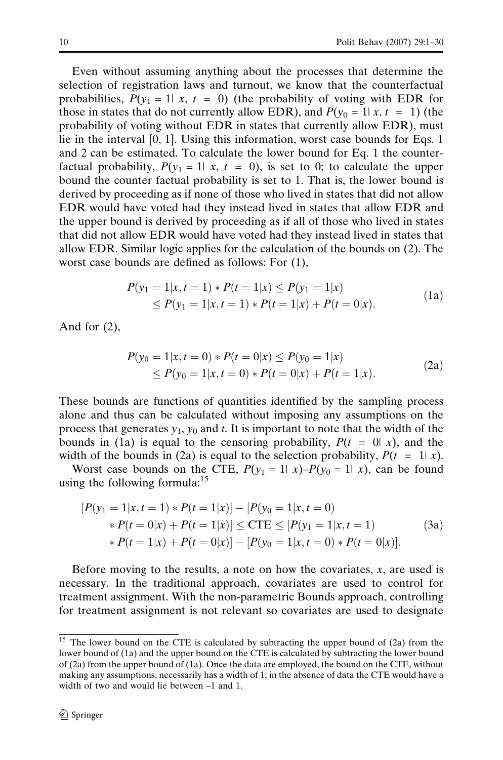Even without assuming anything about the processes that determine the selection of registration laws and turnout, we know that the counterfactual probabilities,  $P(y_1 = 1 | x, t = 0)$  (the probability of voting with EDR for those in states that do not currently allow EDR), and  $P(y_0 = 1 | x, t = 1)$  (the probability of voting without EDR in states that currently allow EDR), must lie in the interval [0, 1]. Using this information, worst case bounds for Eqs. 1 and 2 can be estimated. To calculate the lower bound for Eq. 1 the counterfactual probability,  $P(y_1 = 1 | x, t = 0)$ , is set to 0; to calculate the upper bound the counter factual probability is set to 1. That is, the lower bound is derived by proceeding as if none of those who lived in states that did not allow EDR would have voted had they instead lived in states that allow EDR and the upper bound is derived by proceeding as if all of those who lived in states that did not allow EDR would have voted had they instead lived in states that allow EDR. Similar logic applies for the calculation of the bounds on (2). The worst case bounds are defined as follows: For (1),

$$
P(y_1 = 1|x, t = 1) * P(t = 1|x) \le P(y_1 = 1|x)
$$
  
\n
$$
\le P(y_1 = 1|x, t = 1) * P(t = 1|x) + P(t = 0|x).
$$
\n(1a)

And for (2),

$$
P(y_0 = 1|x, t = 0) * P(t = 0|x) \le P(y_0 = 1|x)
$$
  
\n
$$
\le P(y_0 = 1|x, t = 0) * P(t = 0|x) + P(t = 1|x).
$$
\n(2a)

These bounds are functions of quantities identified by the sampling process alone and thus can be calculated without imposing any assumptions on the process that generates  $y_1$ ,  $y_0$  and t. It is important to note that the width of the bounds in (1a) is equal to the censoring probability,  $P(t = 0|x)$ , and the width of the bounds in (2a) is equal to the selection probability,  $P(t = 1 | x)$ .

Worst case bounds on the CTE,  $P(y_1 = 1 | x) - P(y_0 = 1 | x)$ , can be found using the following formula: $15$ 

$$
[P(y_1 = 1|x, t = 1) * P(t = 1|x)] - [P(y_0 = 1|x, t = 0)
$$
  
\* P(t = 0|x) + P(t = 1|x)]  $\leq$  CTE  $\leq$  [P(y<sub>1</sub> = 1|x, t = 1)  
\* P(t = 1|x) + P(t = 0|x)] - [P(y<sub>0</sub> = 1|x, t = 0) \* P(t = 0|x)]. (3a)

Before moving to the results, a note on how the covariates,  $x$ , are used is necessary. In the traditional approach, covariates are used to control for treatment assignment. With the non-parametric Bounds approach, controlling for treatment assignment is not relevant so covariates are used to designate

<sup>&</sup>lt;sup>15</sup> The lower bound on the CTE is calculated by subtracting the upper bound of (2a) from the lower bound of (1a) and the upper bound on the CTE is calculated by subtracting the lower bound of (2a) from the upper bound of (1a). Once the data are employed, the bound on the CTE, without making any assumptions, necessarily has a width of 1; in the absence of data the CTE would have a width of two and would lie between –1 and 1.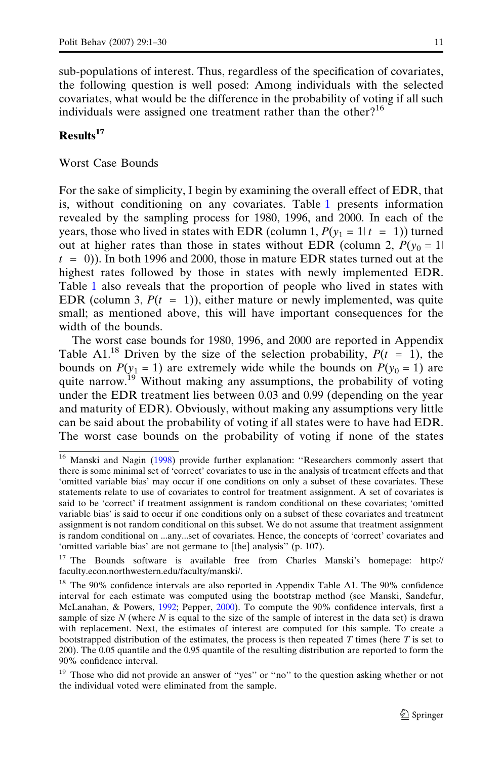sub-populations of interest. Thus, regardless of the specification of covariates, the following question is well posed: Among individuals with the selected covariates, what would be the difference in the probability of voting if all such individuals were assigned one treatment rather than the other?<sup>16</sup>

## Results<sup>17</sup>

### Worst Case Bounds

For the sake of simplicity, I begin by examining the overall effect of EDR, that is, without conditioning on any covariates. Table [1](#page-11-0) presents information revealed by the sampling process for 1980, 1996, and 2000. In each of the years, those who lived in states with EDR (column 1,  $P(y_1 = 1 | t = 1)$ ) turned out at higher rates than those in states without EDR (column 2,  $P(y_0 = 1)$ )  $t = 0$ )). In both 1996 and 2000, those in mature EDR states turned out at the highest rates followed by those in states with newly implemented EDR. Table [1](#page-11-0) also reveals that the proportion of people who lived in states with EDR (column 3,  $P(t = 1)$ ), either mature or newly implemented, was quite small; as mentioned above, this will have important consequences for the width of the bounds.

The worst case bounds for 1980, 1996, and 2000 are reported in Appendix Table A1.<sup>18</sup> Driven by the size of the selection probability,  $P(t = 1)$ , the bounds on  $P(y_1 = 1)$  are extremely wide while the bounds on  $P(y_0 = 1)$  are quite narrow.<sup>19</sup> Without making any assumptions, the probability of voting under the EDR treatment lies between 0.03 and 0.99 (depending on the year and maturity of EDR). Obviously, without making any assumptions very little can be said about the probability of voting if all states were to have had EDR. The worst case bounds on the probability of voting if none of the states

<sup>&</sup>lt;sup>16</sup> Manski and Nagin ([1998\)](#page-29-0) provide further explanation: "Researchers commonly assert that there is some minimal set of 'correct' covariates to use in the analysis of treatment effects and that 'omitted variable bias' may occur if one conditions on only a subset of these covariates. These statements relate to use of covariates to control for treatment assignment. A set of covariates is said to be 'correct' if treatment assignment is random conditional on these covariates; 'omitted variable bias' is said to occur if one conditions only on a subset of these covariates and treatment assignment is not random conditional on this subset. We do not assume that treatment assignment is random conditional on ...any...set of covariates. Hence, the concepts of 'correct' covariates and 'omitted variable bias' are not germane to [the] analysis'' (p. 107).

<sup>&</sup>lt;sup>17</sup> The Bounds software is available free from Charles Manski's homepage: http:// faculty.econ.northwestern.edu/faculty/manski/.

<sup>&</sup>lt;sup>18</sup> The 90% confidence intervals are also reported in Appendix Table A1. The 90% confidence interval for each estimate was computed using the bootstrap method (see Manski, Sandefur, McLanahan, & Powers, [1992;](#page-29-0) Pepper, [2000\)](#page-29-0). To compute the 90% confidence intervals, first a sample of size  $N$  (where  $N$  is equal to the size of the sample of interest in the data set) is drawn with replacement. Next, the estimates of interest are computed for this sample. To create a bootstrapped distribution of the estimates, the process is then repeated  $T$  times (here  $T$  is set to 200). The 0.05 quantile and the 0.95 quantile of the resulting distribution are reported to form the 90% confidence interval.

<sup>&</sup>lt;sup>19</sup> Those who did not provide an answer of "yes" or "no" to the question asking whether or not the individual voted were eliminated from the sample.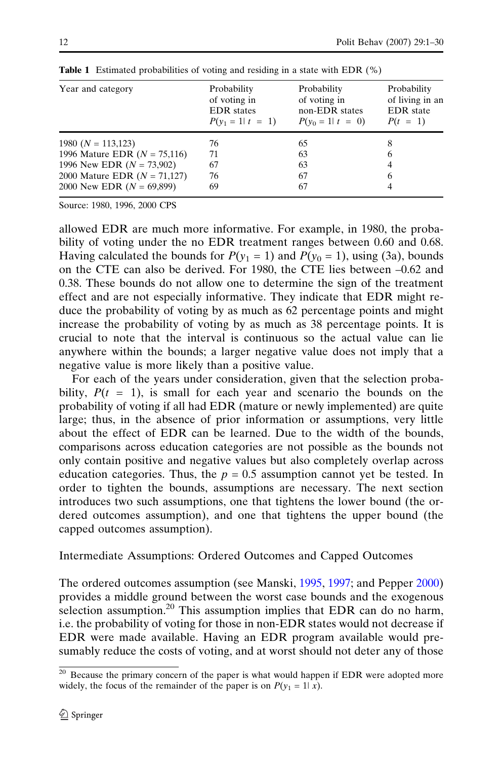$P(y_1 = 1 | t = 1)$   $P(y_0 = 1 | t = 0)$   $P(t = 1)$ 

Probability of living in an EDR state

<span id="page-11-0"></span>

| <b>Table 1</b> Estimated probabilities of voting and residing in a state with EDR $(\%)$ |                                                  |                                               |
|------------------------------------------------------------------------------------------|--------------------------------------------------|-----------------------------------------------|
| Year and category                                                                        | Probability<br>of voting in<br><b>EDR</b> states | Probability<br>of voting in<br>non-EDR states |

1980  $(N = 113,123)$  76 65 8 1996 Mature EDR (*N* = 75,116) 71 63 6<br>1996 New EDR (*N* = 73.902) 67 63 4

2000 Mature EDR  $(N = 71,127)$  76 67 67 6 2000 New EDR  $(N = 69,899)$  69 67 67

1996 New EDR  $(N = 73,902)$  67 63<br>2000 Mature EDR  $(N = 71,127)$  76 67

Source: 1980, 1996, 2000 CPS

allowed EDR are much more informative. For example, in 1980, the probability of voting under the no EDR treatment ranges between 0.60 and 0.68. Having calculated the bounds for  $P(y_1 = 1)$  and  $P(y_0 = 1)$ , using (3a), bounds on the CTE can also be derived. For 1980, the CTE lies between –0.62 and 0.38. These bounds do not allow one to determine the sign of the treatment effect and are not especially informative. They indicate that EDR might reduce the probability of voting by as much as 62 percentage points and might increase the probability of voting by as much as 38 percentage points. It is crucial to note that the interval is continuous so the actual value can lie anywhere within the bounds; a larger negative value does not imply that a negative value is more likely than a positive value.

For each of the years under consideration, given that the selection probability,  $P(t = 1)$ , is small for each year and scenario the bounds on the probability of voting if all had EDR (mature or newly implemented) are quite large; thus, in the absence of prior information or assumptions, very little about the effect of EDR can be learned. Due to the width of the bounds, comparisons across education categories are not possible as the bounds not only contain positive and negative values but also completely overlap across education categories. Thus, the  $p = 0.5$  assumption cannot yet be tested. In order to tighten the bounds, assumptions are necessary. The next section introduces two such assumptions, one that tightens the lower bound (the ordered outcomes assumption), and one that tightens the upper bound (the capped outcomes assumption).

## Intermediate Assumptions: Ordered Outcomes and Capped Outcomes

The ordered outcomes assumption (see Manski, [1995,](#page-29-0) [1997;](#page-29-0) and Pepper [2000](#page-29-0)) provides a middle ground between the worst case bounds and the exogenous selection assumption.<sup>20</sup> This assumption implies that EDR can do no harm, i.e. the probability of voting for those in non-EDR states would not decrease if EDR were made available. Having an EDR program available would presumably reduce the costs of voting, and at worst should not deter any of those

<sup>&</sup>lt;sup>20</sup> Because the primary concern of the paper is what would happen if EDR were adopted more widely, the focus of the remainder of the paper is on  $P(y_1 = 1 | x)$ .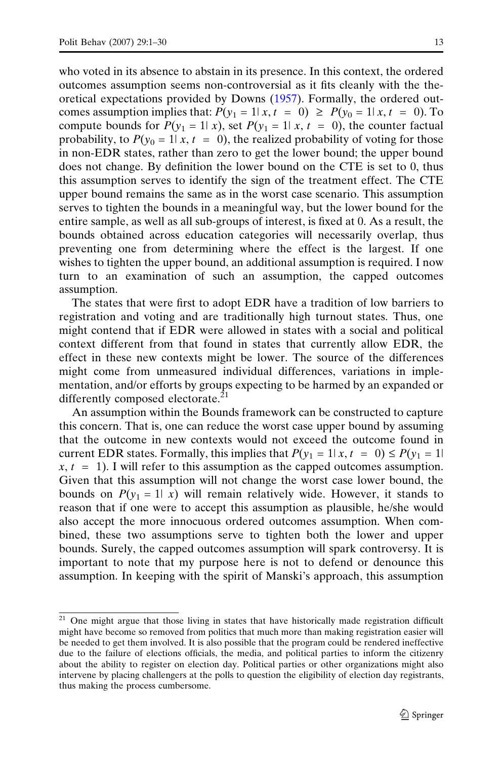who voted in its absence to abstain in its presence. In this context, the ordered outcomes assumption seems non-controversial as it fits cleanly with the theoretical expectations provided by Downs ([1957\)](#page-28-0). Formally, the ordered outcomes assumption implies that:  $P(y_1 = 1 | x, t = 0) \ge P(y_0 = 1 | x, t = 0)$ . To compute bounds for  $P(y_1 = 1 | x)$ , set  $P(y_1 = 1 | x, t = 0)$ , the counter factual probability, to  $P(y_0 = 1 | x, t = 0)$ , the realized probability of voting for those in non-EDR states, rather than zero to get the lower bound; the upper bound does not change. By definition the lower bound on the CTE is set to 0, thus this assumption serves to identify the sign of the treatment effect. The CTE upper bound remains the same as in the worst case scenario. This assumption serves to tighten the bounds in a meaningful way, but the lower bound for the entire sample, as well as all sub-groups of interest, is fixed at 0. As a result, the

bounds obtained across education categories will necessarily overlap, thus preventing one from determining where the effect is the largest. If one wishes to tighten the upper bound, an additional assumption is required. I now turn to an examination of such an assumption, the capped outcomes assumption.

The states that were first to adopt EDR have a tradition of low barriers to registration and voting and are traditionally high turnout states. Thus, one might contend that if EDR were allowed in states with a social and political context different from that found in states that currently allow EDR, the effect in these new contexts might be lower. The source of the differences might come from unmeasured individual differences, variations in implementation, and/or efforts by groups expecting to be harmed by an expanded or differently composed electorate.<sup>21</sup>

An assumption within the Bounds framework can be constructed to capture this concern. That is, one can reduce the worst case upper bound by assuming that the outcome in new contexts would not exceed the outcome found in current EDR states. Formally, this implies that  $P(y_1 = 1 | x, t = 0) \le P(y_1 = 1 |$  $x, t = 1$ ). I will refer to this assumption as the capped outcomes assumption. Given that this assumption will not change the worst case lower bound, the bounds on  $P(y_1 = 1 | x)$  will remain relatively wide. However, it stands to reason that if one were to accept this assumption as plausible, he/she would also accept the more innocuous ordered outcomes assumption. When combined, these two assumptions serve to tighten both the lower and upper bounds. Surely, the capped outcomes assumption will spark controversy. It is important to note that my purpose here is not to defend or denounce this assumption. In keeping with the spirit of Manski's approach, this assumption

<sup>&</sup>lt;sup>21</sup> One might argue that those living in states that have historically made registration difficult might have become so removed from politics that much more than making registration easier will be needed to get them involved. It is also possible that the program could be rendered ineffective due to the failure of elections officials, the media, and political parties to inform the citizenry about the ability to register on election day. Political parties or other organizations might also intervene by placing challengers at the polls to question the eligibility of election day registrants, thus making the process cumbersome.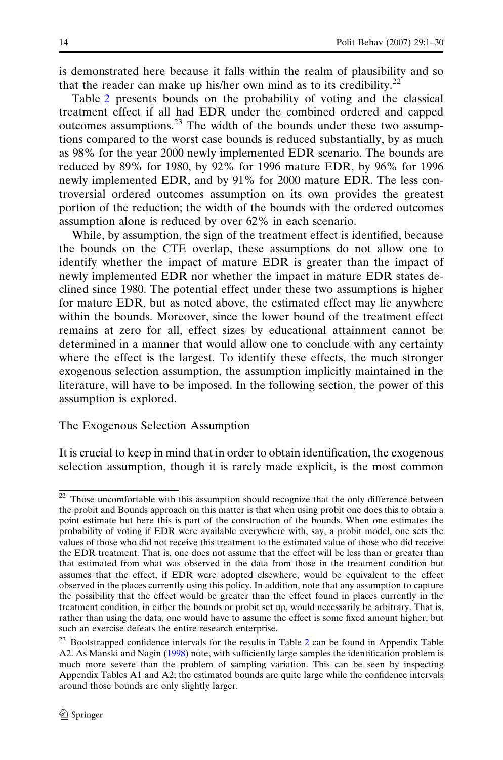is demonstrated here because it falls within the realm of plausibility and so that the reader can make up his/her own mind as to its credibility.<sup>22</sup>

Table [2](#page-14-0) presents bounds on the probability of voting and the classical treatment effect if all had EDR under the combined ordered and capped outcomes assumptions. $^{23}$  The width of the bounds under these two assumptions compared to the worst case bounds is reduced substantially, by as much as 98% for the year 2000 newly implemented EDR scenario. The bounds are reduced by 89% for 1980, by 92% for 1996 mature EDR, by 96% for 1996 newly implemented EDR, and by 91% for 2000 mature EDR. The less controversial ordered outcomes assumption on its own provides the greatest portion of the reduction; the width of the bounds with the ordered outcomes assumption alone is reduced by over 62% in each scenario.

While, by assumption, the sign of the treatment effect is identified, because the bounds on the CTE overlap, these assumptions do not allow one to identify whether the impact of mature EDR is greater than the impact of newly implemented EDR nor whether the impact in mature EDR states declined since 1980. The potential effect under these two assumptions is higher for mature EDR, but as noted above, the estimated effect may lie anywhere within the bounds. Moreover, since the lower bound of the treatment effect remains at zero for all, effect sizes by educational attainment cannot be determined in a manner that would allow one to conclude with any certainty where the effect is the largest. To identify these effects, the much stronger exogenous selection assumption, the assumption implicitly maintained in the literature, will have to be imposed. In the following section, the power of this assumption is explored.

#### The Exogenous Selection Assumption

It is crucial to keep in mind that in order to obtain identification, the exogenous selection assumption, though it is rarely made explicit, is the most common

 $22$  Those uncomfortable with this assumption should recognize that the only difference between the probit and Bounds approach on this matter is that when using probit one does this to obtain a point estimate but here this is part of the construction of the bounds. When one estimates the probability of voting if EDR were available everywhere with, say, a probit model, one sets the values of those who did not receive this treatment to the estimated value of those who did receive the EDR treatment. That is, one does not assume that the effect will be less than or greater than that estimated from what was observed in the data from those in the treatment condition but assumes that the effect, if EDR were adopted elsewhere, would be equivalent to the effect observed in the places currently using this policy. In addition, note that any assumption to capture the possibility that the effect would be greater than the effect found in places currently in the treatment condition, in either the bounds or probit set up, would necessarily be arbitrary. That is, rather than using the data, one would have to assume the effect is some fixed amount higher, but such an exercise defeats the entire research enterprise.

 $23$  $23$  Bootstrapped confidence intervals for the results in Table  $2$  can be found in Appendix Table A2. As Manski and Nagin ([1998](#page-29-0)) note, with sufficiently large samples the identification problem is much more severe than the problem of sampling variation. This can be seen by inspecting Appendix Tables A1 and A2; the estimated bounds are quite large while the confidence intervals around those bounds are only slightly larger.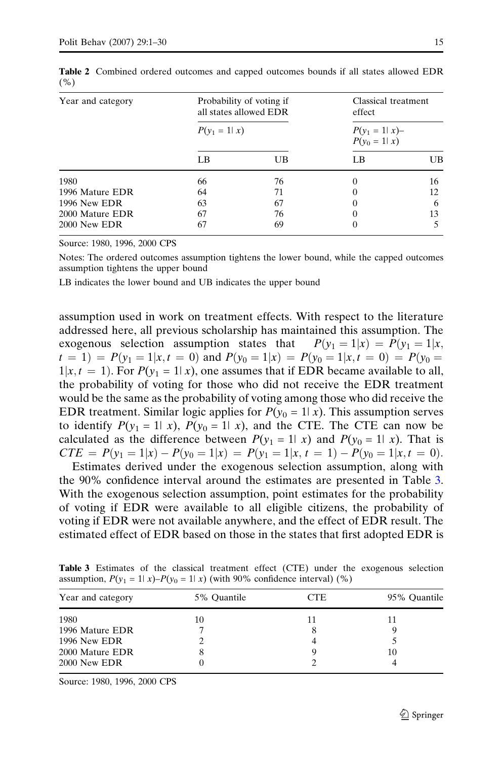| Year and category |                  | Probability of voting if<br>all states allowed EDR | Classical treatment<br>effect          |    |
|-------------------|------------------|----------------------------------------------------|----------------------------------------|----|
|                   | $P(y_1 = 1   x)$ |                                                    | $P(y_1 = 1   x)$ -<br>$P(y_0 = 1   x)$ |    |
|                   | LB               | UB                                                 | LB                                     | UB |
| 1980              | 66               | 76                                                 | $\theta$                               | 16 |
| 1996 Mature EDR   | 64               | 71                                                 | $\theta$                               | 12 |
| 1996 New EDR      | 63               | 67                                                 | 0                                      | 6  |
| 2000 Mature EDR   | 67               | 76                                                 | 0                                      | 13 |
| 2000 New EDR      | 67               | 69                                                 | $\theta$                               |    |

<span id="page-14-0"></span>Table 2 Combined ordered outcomes and capped outcomes bounds if all states allowed EDR (%)

Source: 1980, 1996, 2000 CPS

Notes: The ordered outcomes assumption tightens the lower bound, while the capped outcomes assumption tightens the upper bound

LB indicates the lower bound and UB indicates the upper bound

assumption used in work on treatment effects. With respect to the literature addressed here, all previous scholarship has maintained this assumption. The exogenous selection assumption states that  $P(y_1 = 1|x) = P(y_1 = 1|x)$ ;  $t = 1$ ) =  $P(y_1 = 1|x, t = 0)$  and  $P(y_0 = 1|x) = P(y_0 = 1|x, t = 0) = P(y_0 = 1)$  $1|x, t = 1$ . For  $P(y_1 = 1|x)$ , one assumes that if EDR became available to all, the probability of voting for those who did not receive the EDR treatment would be the same as the probability of voting among those who did receive the EDR treatment. Similar logic applies for  $P(y_0 = 1 | x)$ . This assumption serves to identify  $P(y_1 = 1 | x)$ ,  $P(y_0 = 1 | x)$ , and the CTE. The CTE can now be calculated as the difference between  $P(y_1 = 1 | x)$  and  $P(y_0 = 1 | x)$ . That is  $CTE = P(y_1 = 1|x) - P(y_0 = 1|x) = P(y_1 = 1|x, t = 1) - P(y_0 = 1|x, t = 0).$ 

Estimates derived under the exogenous selection assumption, along with the 90% confidence interval around the estimates are presented in Table 3. With the exogenous selection assumption, point estimates for the probability of voting if EDR were available to all eligible citizens, the probability of voting if EDR were not available anywhere, and the effect of EDR result. The estimated effect of EDR based on those in the states that first adopted EDR is

| Year and category | 5% Quantile | CTE | 95% Quantile |
|-------------------|-------------|-----|--------------|
| 1980              | 10          |     |              |
| 1996 Mature EDR   |             |     |              |
| 1996 New EDR      |             |     |              |
| 2000 Mature EDR   |             |     | 10           |
| 2000 New EDR      |             |     |              |
|                   |             |     |              |

Table 3 Estimates of the classical treatment effect (CTE) under the exogenous selection assumption,  $P(y_1 = 1 | x) - P(y_0 = 1 | x)$  (with 90% confidence interval) (%)

Source: 1980, 1996, 2000 CPS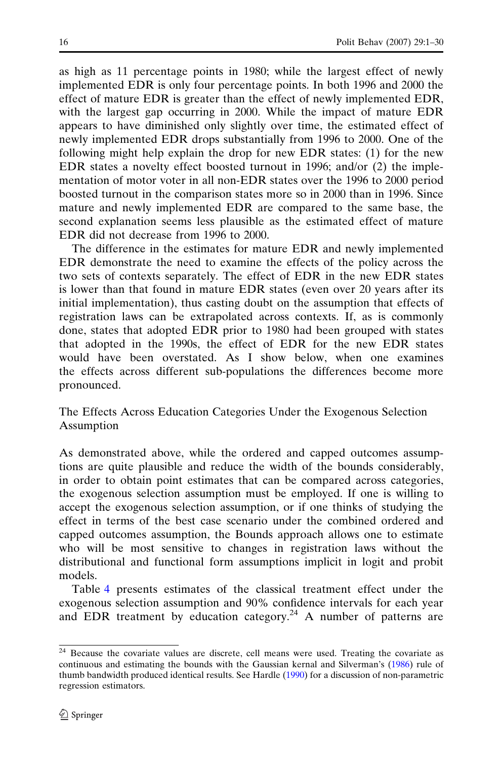as high as 11 percentage points in 1980; while the largest effect of newly implemented EDR is only four percentage points. In both 1996 and 2000 the effect of mature EDR is greater than the effect of newly implemented EDR, with the largest gap occurring in 2000. While the impact of mature EDR appears to have diminished only slightly over time, the estimated effect of newly implemented EDR drops substantially from 1996 to 2000. One of the following might help explain the drop for new EDR states: (1) for the new EDR states a novelty effect boosted turnout in 1996; and/or (2) the implementation of motor voter in all non-EDR states over the 1996 to 2000 period boosted turnout in the comparison states more so in 2000 than in 1996. Since mature and newly implemented EDR are compared to the same base, the second explanation seems less plausible as the estimated effect of mature EDR did not decrease from 1996 to 2000.

The difference in the estimates for mature EDR and newly implemented EDR demonstrate the need to examine the effects of the policy across the two sets of contexts separately. The effect of EDR in the new EDR states is lower than that found in mature EDR states (even over 20 years after its initial implementation), thus casting doubt on the assumption that effects of registration laws can be extrapolated across contexts. If, as is commonly done, states that adopted EDR prior to 1980 had been grouped with states that adopted in the 1990s, the effect of EDR for the new EDR states would have been overstated. As I show below, when one examines the effects across different sub-populations the differences become more pronounced.

The Effects Across Education Categories Under the Exogenous Selection Assumption

As demonstrated above, while the ordered and capped outcomes assumptions are quite plausible and reduce the width of the bounds considerably, in order to obtain point estimates that can be compared across categories, the exogenous selection assumption must be employed. If one is willing to accept the exogenous selection assumption, or if one thinks of studying the effect in terms of the best case scenario under the combined ordered and capped outcomes assumption, the Bounds approach allows one to estimate who will be most sensitive to changes in registration laws without the distributional and functional form assumptions implicit in logit and probit models.

Table [4](#page-16-0) presents estimates of the classical treatment effect under the exogenous selection assumption and 90% confidence intervals for each year and EDR treatment by education category.<sup>24</sup> A number of patterns are

<sup>&</sup>lt;sup>24</sup> Because the covariate values are discrete, cell means were used. Treating the covariate as continuous and estimating the bounds with the Gaussian kernal and Silverman's [\(1986](#page-29-0)) rule of thumb bandwidth produced identical results. See Hardle [\(1990\)](#page-28-0) for a discussion of non-parametric regression estimators.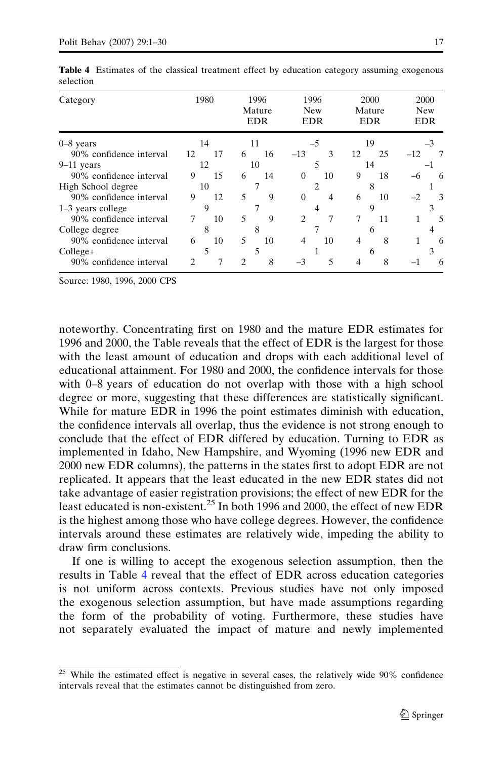| Category                |    | 1980 |                          | 1996<br>Mature<br><b>EDR</b> | 1996<br><b>New</b><br>EDR |                |    | 2000<br>Mature<br><b>EDR</b> | 2000<br><b>New</b><br>EDR |     |
|-------------------------|----|------|--------------------------|------------------------------|---------------------------|----------------|----|------------------------------|---------------------------|-----|
| 0-8 years               |    | 14   |                          | 11                           |                           | $-5$           |    | 19                           |                           |     |
| 90% confidence interval | 12 | 17   | 6                        | 16                           | $-13$                     | 3              | 12 | 25                           | $-12$                     |     |
| $9-11$ years            |    | 12   |                          | 10                           |                           | 5              |    | 14                           |                           | - 1 |
| 90% confidence interval | 9  | 15   | 6                        | 14                           | $\Omega$                  | 10             | 9  | 18                           | $-6$                      | 6   |
| High School degree      |    | 10   |                          | 7                            |                           | $\overline{c}$ |    | 8                            |                           |     |
| 90% confidence interval | 9  | 12   | $\overline{\phantom{0}}$ | 9                            | $\Omega$                  | 4              | 6  | 10                           | $-2$                      | 3   |
| $1-3$ years college     |    | 9    |                          |                              |                           |                |    | 9                            |                           | 3   |
| 90% confidence interval |    | 10   | 5                        | 9                            | 2                         |                | 7  | 11                           |                           | 5   |
| College degree          |    | 8    |                          | 8                            |                           |                |    | 6                            |                           |     |
| 90% confidence interval | 6  | 10   | 5                        | 10                           | $\overline{4}$            | 10             | 4  | 8                            |                           | 6   |
| Collect the get         |    | 5    |                          | 5                            |                           |                |    | 6                            |                           |     |
| 90% confidence interval | 2  |      | $\overline{c}$           | 8                            | $-3$                      |                | 4  | 8                            |                           | 6   |

<span id="page-16-0"></span>Table 4 Estimates of the classical treatment effect by education category assuming exogenous selection

Source: 1980, 1996, 2000 CPS

noteworthy. Concentrating first on 1980 and the mature EDR estimates for 1996 and 2000, the Table reveals that the effect of EDR is the largest for those with the least amount of education and drops with each additional level of educational attainment. For 1980 and 2000, the confidence intervals for those with 0–8 years of education do not overlap with those with a high school degree or more, suggesting that these differences are statistically significant. While for mature EDR in 1996 the point estimates diminish with education, the confidence intervals all overlap, thus the evidence is not strong enough to conclude that the effect of EDR differed by education. Turning to EDR as implemented in Idaho, New Hampshire, and Wyoming (1996 new EDR and 2000 new EDR columns), the patterns in the states first to adopt EDR are not replicated. It appears that the least educated in the new EDR states did not take advantage of easier registration provisions; the effect of new EDR for the least educated is non-existent.<sup>25</sup> In both 1996 and 2000, the effect of new EDR is the highest among those who have college degrees. However, the confidence intervals around these estimates are relatively wide, impeding the ability to draw firm conclusions.

If one is willing to accept the exogenous selection assumption, then the results in Table 4 reveal that the effect of EDR across education categories is not uniform across contexts. Previous studies have not only imposed the exogenous selection assumption, but have made assumptions regarding the form of the probability of voting. Furthermore, these studies have not separately evaluated the impact of mature and newly implemented

 $25$  While the estimated effect is negative in several cases, the relatively wide 90% confidence intervals reveal that the estimates cannot be distinguished from zero.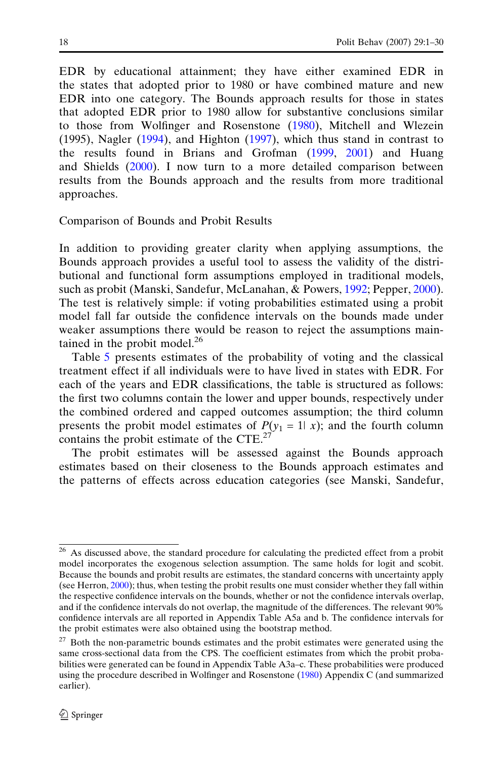EDR by educational attainment; they have either examined EDR in the states that adopted prior to 1980 or have combined mature and new EDR into one category. The Bounds approach results for those in states that adopted EDR prior to 1980 allow for substantive conclusions similar to those from Wolfinger and Rosenstone [\(1980](#page-29-0)), Mitchell and Wlezein (1995), Nagler ([1994\)](#page-29-0), and Highton ([1997\)](#page-28-0), which thus stand in contrast to the results found in Brians and Grofman ([1999,](#page-28-0) [2001\)](#page-28-0) and Huang and Shields ([2000\)](#page-28-0). I now turn to a more detailed comparison between results from the Bounds approach and the results from more traditional approaches.

Comparison of Bounds and Probit Results

In addition to providing greater clarity when applying assumptions, the Bounds approach provides a useful tool to assess the validity of the distributional and functional form assumptions employed in traditional models, such as probit (Manski, Sandefur, McLanahan, & Powers, [1992](#page-29-0); Pepper, [2000\)](#page-29-0). The test is relatively simple: if voting probabilities estimated using a probit model fall far outside the confidence intervals on the bounds made under weaker assumptions there would be reason to reject the assumptions maintained in the probit model. $^{26}$ 

Table [5](#page-18-0) presents estimates of the probability of voting and the classical treatment effect if all individuals were to have lived in states with EDR. For each of the years and EDR classifications, the table is structured as follows: the first two columns contain the lower and upper bounds, respectively under the combined ordered and capped outcomes assumption; the third column presents the probit model estimates of  $P(y_1 = 1 | x)$ ; and the fourth column contains the probit estimate of the  $CTE<sup>27</sup>$ 

The probit estimates will be assessed against the Bounds approach estimates based on their closeness to the Bounds approach estimates and the patterns of effects across education categories (see Manski, Sandefur,

<sup>26</sup> As discussed above, the standard procedure for calculating the predicted effect from a probit model incorporates the exogenous selection assumption. The same holds for logit and scobit. Because the bounds and probit results are estimates, the standard concerns with uncertainty apply (see Herron, [2000](#page-28-0)); thus, when testing the probit results one must consider whether they fall within the respective confidence intervals on the bounds, whether or not the confidence intervals overlap, and if the confidence intervals do not overlap, the magnitude of the differences. The relevant 90% confidence intervals are all reported in Appendix Table A5a and b. The confidence intervals for the probit estimates were also obtained using the bootstrap method.

<sup>&</sup>lt;sup>27</sup> Both the non-parametric bounds estimates and the probit estimates were generated using the same cross-sectional data from the CPS. The coefficient estimates from which the probit probabilities were generated can be found in Appendix Table A3a–c. These probabilities were produced using the procedure described in Wolfinger and Rosenstone ([1980\)](#page-29-0) Appendix C (and summarized earlier).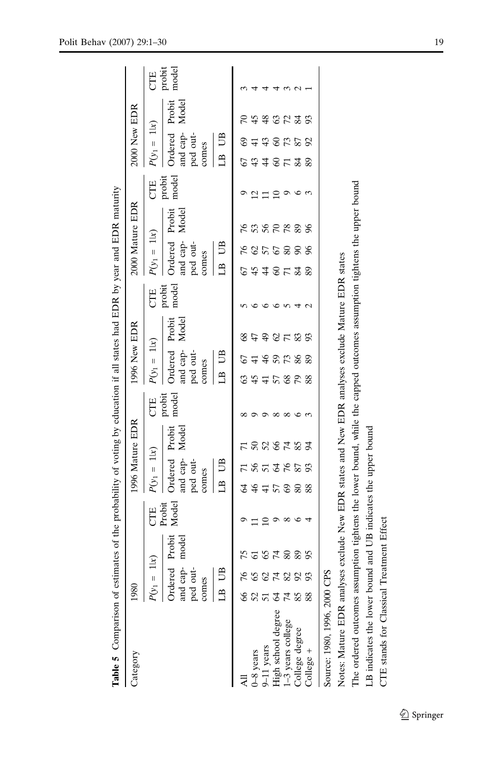<span id="page-18-0"></span>

| Table 5 Comparison of estimates of the probability of voting by education if all states had EDR by year and EDR maturity |               |               |                                             |                 |                   |                     |                 |                 |                              |                |                |                 |                   |          |                                 |                 |                                  |                         |                   |  |
|--------------------------------------------------------------------------------------------------------------------------|---------------|---------------|---------------------------------------------|-----------------|-------------------|---------------------|-----------------|-----------------|------------------------------|----------------|----------------|-----------------|-------------------|----------|---------------------------------|-----------------|----------------------------------|-------------------------|-------------------|--|
| Category                                                                                                                 | 980           |               |                                             |                 |                   |                     | 1996 Mature EDR |                 |                              | 1996 New EDR   |                |                 |                   |          | 2000 Mature EDR                 |                 |                                  | 2000 New EDR            |                   |  |
|                                                                                                                          |               | $P(y_1 =$     | $\exists  x $                               | E               |                   | $P(y_1 = 1 x)$      |                 | CTE             |                              | $P(y_1 = 1 x)$ |                | CTE             | $P(y_1 =$         | 1 x)     |                                 | CTE             | $P(y_1 =$                        | 1 x)                    | CTE               |  |
|                                                                                                                          | comes         |               | Ordered Probit<br>and cap-model<br>ped out- | Model<br>Probit | ped out-<br>comes | Ordered<br>and cap- | Model<br>Probit | model<br>probit | Ordered<br>ped out-<br>comes | and cap-       | Model<br>Probi | probit<br>model | ped out-<br>comes |          | and cap-Model<br>Ordered Probit | model<br>probit | Ordered<br>ped out-<br>comes     | and cap-Model<br>Probit | $probit$<br>model |  |
|                                                                                                                          | Ë             | 鸟             |                                             |                 | $\Xi$             | B                   |                 |                 | Ë                            | B              |                |                 | Ë                 | B        |                                 |                 | $\Xi$                            | B                       |                   |  |
|                                                                                                                          | 8             |               |                                             |                 | 2                 |                     |                 |                 | යි                           |                | 8              |                 | 2                 | 76       | 97                              |                 | 69<br>2                          |                         |                   |  |
| 0-8 years                                                                                                                |               | 6 n           | おいなはあめ                                      |                 |                   |                     |                 | $\circ$         | $\mathcal{F}$                |                |                |                 |                   |          |                                 |                 | 34                               | 45                      |                   |  |
|                                                                                                                          | $\frac{2}{5}$ | $\sim$        |                                             |                 |                   |                     |                 | $\circ$         |                              |                | ₽              |                 |                   |          |                                 |                 |                                  | $\frac{8}{2}$           |                   |  |
|                                                                                                                          | $\mathcal{R}$ |               |                                             |                 |                   | 24                  |                 | $\infty$        |                              | 59             |                |                 |                   |          |                                 | $\supseteq$     | $\mathcal{S}$                    |                         |                   |  |
| 9-11 years<br>High school degree 6<br>1-3 years college<br>College degree $\binom{5}{1}$                                 |               | $\sim$ $\sim$ |                                             | $^{\circ}$      | 24228             | 87                  | <b>SSFS</b>     | $\infty$        | 45888                        |                | 87             |                 | 84852             |          | 7888                            | $\circ$         | $\mathcal{L} \simeq \mathcal{L}$ | 252                     |                   |  |
|                                                                                                                          | <b>A 28</b>   |               |                                             | ৩               |                   |                     |                 | $\circ$         |                              | 86             | 83             |                 |                   | $\infty$ | 89                              | $\circ$         | 87                               |                         | $\mathcal{C}$     |  |
| College +                                                                                                                |               |               | 95                                          |                 | 88                |                     | ड               | $\mathfrak{m}$  |                              | 89             |                |                 | 89                |          | $\%$                            |                 | 89                               | 93                      |                   |  |
| Source: 1980, 1996, 2000 CPS                                                                                             |               |               |                                             |                 |                   |                     |                 |                 |                              |                |                |                 |                   |          |                                 |                 |                                  |                         |                   |  |
| Notes: Mature EDR analyses exclude New EDR states and New EDR analyses exclude Mature EDR states                         |               |               |                                             |                 |                   |                     |                 |                 |                              |                |                |                 |                   |          |                                 |                 |                                  |                         |                   |  |
| The ordered outcomes assumption tightens the lower bound, while the capped outcomes assumption tightens the upper bound  |               |               |                                             |                 |                   |                     |                 |                 |                              |                |                |                 |                   |          |                                 |                 |                                  |                         |                   |  |
| LB indicates the lower bound and UB indicates the upper bound                                                            |               |               |                                             |                 |                   |                     |                 |                 |                              |                |                |                 |                   |          |                                 |                 |                                  |                         |                   |  |
| CTE stands for Classical Tr                                                                                              |               |               | eatment Effect                              |                 |                   |                     |                 |                 |                              |                |                |                 |                   |          |                                 |                 |                                  |                         |                   |  |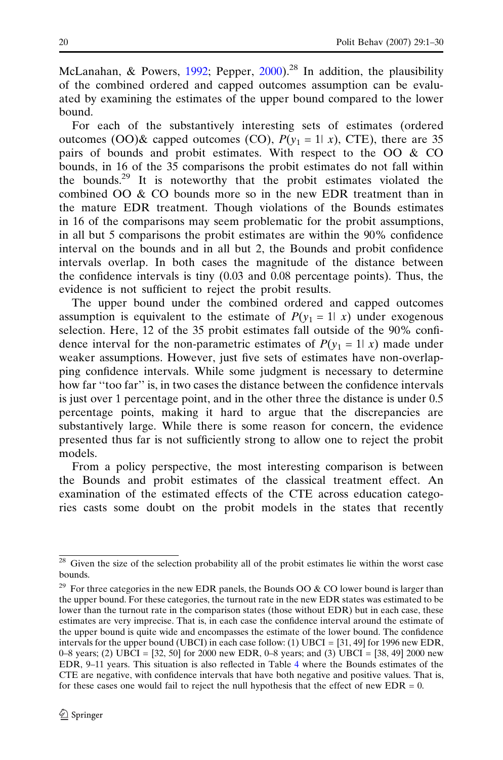McLanahan, & Powers, [1992](#page-29-0); Pepper, [2000\)](#page-29-0).<sup>28</sup> In addition, the plausibility of the combined ordered and capped outcomes assumption can be evaluated by examining the estimates of the upper bound compared to the lower bound.

For each of the substantively interesting sets of estimates (ordered outcomes (OO)& capped outcomes (CO),  $P(y_1 = 1 | x)$ , CTE), there are 35 pairs of bounds and probit estimates. With respect to the OO & CO bounds, in 16 of the 35 comparisons the probit estimates do not fall within the bounds.<sup>29</sup> It is noteworthy that the probit estimates violated the combined OO & CO bounds more so in the new EDR treatment than in the mature EDR treatment. Though violations of the Bounds estimates in 16 of the comparisons may seem problematic for the probit assumptions, in all but 5 comparisons the probit estimates are within the 90% confidence interval on the bounds and in all but 2, the Bounds and probit confidence intervals overlap. In both cases the magnitude of the distance between the confidence intervals is tiny (0.03 and 0.08 percentage points). Thus, the evidence is not sufficient to reject the probit results.

The upper bound under the combined ordered and capped outcomes assumption is equivalent to the estimate of  $P(y_1 = 1 | x)$  under exogenous selection. Here, 12 of the 35 probit estimates fall outside of the 90% confidence interval for the non-parametric estimates of  $P(y_1 = 1 | x)$  made under weaker assumptions. However, just five sets of estimates have non-overlapping confidence intervals. While some judgment is necessary to determine how far ''too far'' is, in two cases the distance between the confidence intervals is just over 1 percentage point, and in the other three the distance is under 0.5 percentage points, making it hard to argue that the discrepancies are substantively large. While there is some reason for concern, the evidence presented thus far is not sufficiently strong to allow one to reject the probit models.

From a policy perspective, the most interesting comparison is between the Bounds and probit estimates of the classical treatment effect. An examination of the estimated effects of the CTE across education categories casts some doubt on the probit models in the states that recently

 $28$  Given the size of the selection probability all of the probit estimates lie within the worst case bounds.

<sup>&</sup>lt;sup>29</sup> For three categories in the new EDR panels, the Bounds OO  $\&$  CO lower bound is larger than the upper bound. For these categories, the turnout rate in the new EDR states was estimated to be lower than the turnout rate in the comparison states (those without EDR) but in each case, these estimates are very imprecise. That is, in each case the confidence interval around the estimate of the upper bound is quite wide and encompasses the estimate of the lower bound. The confidence intervals for the upper bound (UBCI) in each case follow: (1) UBCI = [31, 49] for 1996 new EDR, 0–8 years; (2) UBCI =  $[32, 50]$  for 2000 new EDR, 0–8 years; and (3) UBCI =  $[38, 49]$  2000 new EDR, 9–11 years. This situation is also reflected in Table [4](#page-16-0) where the Bounds estimates of the CTE are negative, with confidence intervals that have both negative and positive values. That is, for these cases one would fail to reject the null hypothesis that the effect of new EDR  $= 0$ .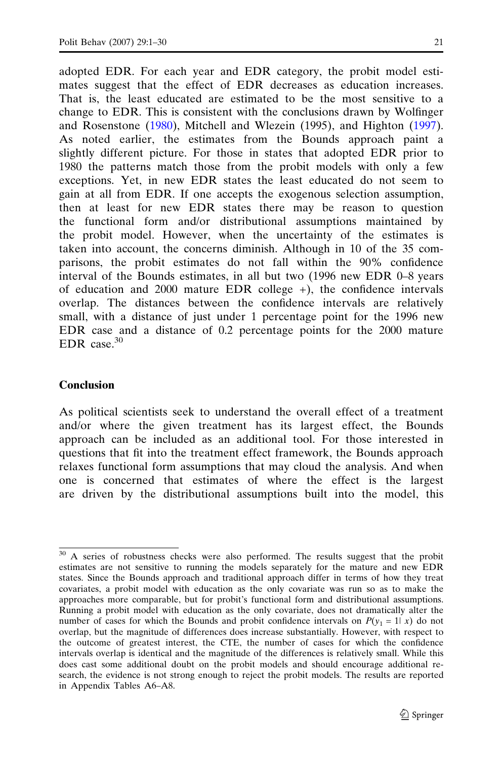adopted EDR. For each year and EDR category, the probit model estimates suggest that the effect of EDR decreases as education increases. That is, the least educated are estimated to be the most sensitive to a change to EDR. This is consistent with the conclusions drawn by Wolfinger and Rosenstone [\(1980](#page-29-0)), Mitchell and Wlezein (1995), and Highton ([1997\)](#page-28-0). As noted earlier, the estimates from the Bounds approach paint a slightly different picture. For those in states that adopted EDR prior to 1980 the patterns match those from the probit models with only a few exceptions. Yet, in new EDR states the least educated do not seem to gain at all from EDR. If one accepts the exogenous selection assumption, then at least for new EDR states there may be reason to question the functional form and/or distributional assumptions maintained by the probit model. However, when the uncertainty of the estimates is taken into account, the concerns diminish. Although in 10 of the 35 comparisons, the probit estimates do not fall within the 90% confidence interval of the Bounds estimates, in all but two (1996 new EDR 0–8 years of education and 2000 mature EDR college  $+)$ , the confidence intervals overlap. The distances between the confidence intervals are relatively small, with a distance of just under 1 percentage point for the 1996 new EDR case and a distance of 0.2 percentage points for the 2000 mature EDR case.<sup>30</sup>

## Conclusion

As political scientists seek to understand the overall effect of a treatment and/or where the given treatment has its largest effect, the Bounds approach can be included as an additional tool. For those interested in questions that fit into the treatment effect framework, the Bounds approach relaxes functional form assumptions that may cloud the analysis. And when one is concerned that estimates of where the effect is the largest are driven by the distributional assumptions built into the model, this

<sup>&</sup>lt;sup>30</sup> A series of robustness checks were also performed. The results suggest that the probit estimates are not sensitive to running the models separately for the mature and new EDR states. Since the Bounds approach and traditional approach differ in terms of how they treat covariates, a probit model with education as the only covariate was run so as to make the approaches more comparable, but for probit's functional form and distributional assumptions. Running a probit model with education as the only covariate, does not dramatically alter the number of cases for which the Bounds and probit confidence intervals on  $P(y_1 = 1 | x)$  do not overlap, but the magnitude of differences does increase substantially. However, with respect to the outcome of greatest interest, the CTE, the number of cases for which the confidence intervals overlap is identical and the magnitude of the differences is relatively small. While this does cast some additional doubt on the probit models and should encourage additional research, the evidence is not strong enough to reject the probit models. The results are reported in Appendix Tables A6–A8.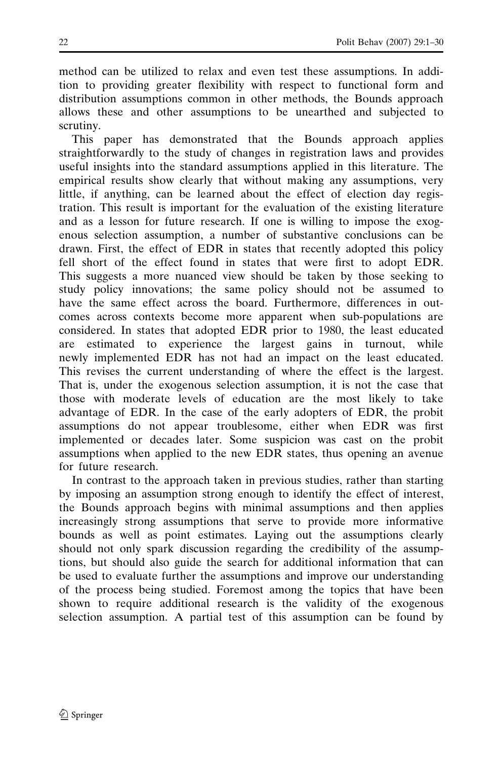method can be utilized to relax and even test these assumptions. In addition to providing greater flexibility with respect to functional form and distribution assumptions common in other methods, the Bounds approach allows these and other assumptions to be unearthed and subjected to scrutiny.

This paper has demonstrated that the Bounds approach applies straightforwardly to the study of changes in registration laws and provides useful insights into the standard assumptions applied in this literature. The empirical results show clearly that without making any assumptions, very little, if anything, can be learned about the effect of election day registration. This result is important for the evaluation of the existing literature and as a lesson for future research. If one is willing to impose the exogenous selection assumption, a number of substantive conclusions can be drawn. First, the effect of EDR in states that recently adopted this policy fell short of the effect found in states that were first to adopt EDR. This suggests a more nuanced view should be taken by those seeking to study policy innovations; the same policy should not be assumed to have the same effect across the board. Furthermore, differences in outcomes across contexts become more apparent when sub-populations are considered. In states that adopted EDR prior to 1980, the least educated are estimated to experience the largest gains in turnout, while newly implemented EDR has not had an impact on the least educated. This revises the current understanding of where the effect is the largest. That is, under the exogenous selection assumption, it is not the case that those with moderate levels of education are the most likely to take advantage of EDR. In the case of the early adopters of EDR, the probit assumptions do not appear troublesome, either when EDR was first implemented or decades later. Some suspicion was cast on the probit assumptions when applied to the new EDR states, thus opening an avenue for future research.

In contrast to the approach taken in previous studies, rather than starting by imposing an assumption strong enough to identify the effect of interest, the Bounds approach begins with minimal assumptions and then applies increasingly strong assumptions that serve to provide more informative bounds as well as point estimates. Laying out the assumptions clearly should not only spark discussion regarding the credibility of the assumptions, but should also guide the search for additional information that can be used to evaluate further the assumptions and improve our understanding of the process being studied. Foremost among the topics that have been shown to require additional research is the validity of the exogenous selection assumption. A partial test of this assumption can be found by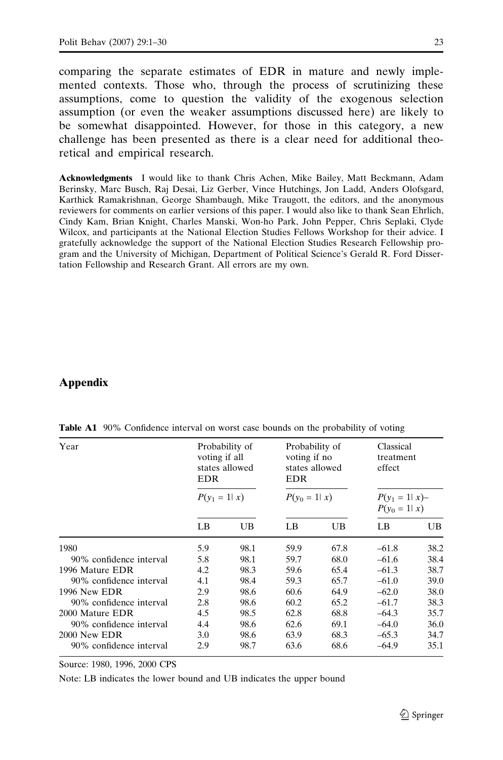comparing the separate estimates of EDR in mature and newly implemented contexts. Those who, through the process of scrutinizing these assumptions, come to question the validity of the exogenous selection assumption (or even the weaker assumptions discussed here) are likely to be somewhat disappointed. However, for those in this category, a new challenge has been presented as there is a clear need for additional theoretical and empirical research.

Acknowledgments I would like to thank Chris Achen, Mike Bailey, Matt Beckmann, Adam Berinsky, Marc Busch, Raj Desai, Liz Gerber, Vince Hutchings, Jon Ladd, Anders Olofsgard, Karthick Ramakrishnan, George Shambaugh, Mike Traugott, the editors, and the anonymous reviewers for comments on earlier versions of this paper. I would also like to thank Sean Ehrlich, Cindy Kam, Brian Knight, Charles Manski, Won-ho Park, John Pepper, Chris Seplaki, Clyde Wilcox, and participants at the National Election Studies Fellows Workshop for their advice. I gratefully acknowledge the support of the National Election Studies Research Fellowship program and the University of Michigan, Department of Political Science's Gerald R. Ford Dissertation Fellowship and Research Grant. All errors are my own.

#### Appendix

| Year                    | voting if all<br><b>EDR</b> | Probability of<br>states allowed | Probability of<br>voting if no<br>states allowed<br><b>EDR</b> |      | Classical<br>treatment<br>effect       |      |
|-------------------------|-----------------------------|----------------------------------|----------------------------------------------------------------|------|----------------------------------------|------|
|                         | $P(v_1 = 1   x)$            |                                  | $P(v_0 = 1   x)$                                               |      | $P(y_1 = 1   x)$ -<br>$P(y_0 = 1   x)$ |      |
|                         | LB                          | UB                               | LB                                                             | UB   | LB                                     | UB   |
| 1980                    | 5.9                         | 98.1                             | 59.9                                                           | 67.8 | $-61.8$                                | 38.2 |
| 90% confidence interval | 5.8                         | 98.1                             | 59.7                                                           | 68.0 | $-61.6$                                | 38.4 |
| 1996 Mature EDR         | 4.2                         | 98.3                             | 59.6                                                           | 65.4 | $-61.3$                                | 38.7 |
| 90% confidence interval | 4.1                         | 98.4                             | 59.3                                                           | 65.7 | $-61.0$                                | 39.0 |
| 1996 New EDR            | 2.9                         | 98.6                             | 60.6                                                           | 64.9 | $-62.0$                                | 38.0 |
| 90% confidence interval | 2.8                         | 98.6                             | 60.2                                                           | 65.2 | $-61.7$                                | 38.3 |
| 2000 Mature EDR         | 4.5                         | 98.5                             | 62.8                                                           | 68.8 | $-64.3$                                | 35.7 |
| 90% confidence interval | 4.4                         | 98.6                             | 62.6                                                           | 69.1 | $-64.0$                                | 36.0 |
| 2000 New EDR            | 3.0                         | 98.6                             | 63.9                                                           | 68.3 | $-65.3$                                | 34.7 |
| 90% confidence interval | 2.9                         | 98.7                             | 63.6                                                           | 68.6 | $-64.9$                                | 35.1 |

Table A1 90% Confidence interval on worst case bounds on the probability of voting

Source: 1980, 1996, 2000 CPS

Note: LB indicates the lower bound and UB indicates the upper bound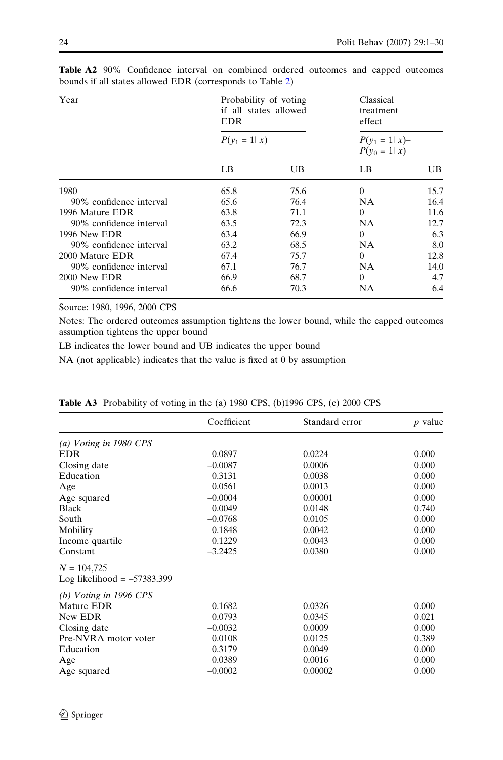| Year                    | EDR              | Probability of voting<br>if all states allowed | Classical<br>treatment<br>effect       |      |
|-------------------------|------------------|------------------------------------------------|----------------------------------------|------|
|                         | $P(y_1 = 1   x)$ |                                                | $P(y_1 = 1   x)$ -<br>$P(y_0 = 1   x)$ |      |
|                         | LB               | UB                                             | LB                                     | UB   |
| 1980                    | 65.8             | 75.6                                           | $\Omega$                               | 15.7 |
| 90% confidence interval | 65.6             | 76.4                                           | NA                                     | 16.4 |
| 1996 Mature EDR         | 63.8             | 71.1                                           | $\Omega$                               | 11.6 |
| 90% confidence interval | 63.5             | 72.3                                           | NA.                                    | 12.7 |
| 1996 New EDR            | 63.4             | 66.9                                           | $\Omega$                               | 6.3  |
| 90% confidence interval | 63.2             | 68.5                                           | <b>NA</b>                              | 8.0  |
| 2000 Mature EDR         | 67.4             | 75.7                                           | $\Omega$                               | 12.8 |
| 90% confidence interval | 67.1             | 76.7                                           | NA.                                    | 14.0 |
| 2000 New EDR            | 66.9             | 68.7                                           | $\Omega$                               | 4.7  |
| 90% confidence interval | 66.6             | 70.3                                           | NA.                                    | 6.4  |

<span id="page-23-0"></span>Table A2 90% Confidence interval on combined ordered outcomes and capped outcomes bounds if all states allowed EDR (corresponds to Table [2\)](#page-14-0)

Source: 1980, 1996, 2000 CPS

Notes: The ordered outcomes assumption tightens the lower bound, while the capped outcomes assumption tightens the upper bound

LB indicates the lower bound and UB indicates the upper bound

NA (not applicable) indicates that the value is fixed at 0 by assumption

|                               | Coefficient | Standard error | <i>p</i> value |
|-------------------------------|-------------|----------------|----------------|
| (a) Voting in $1980$ CPS      |             |                |                |
| EDR                           | 0.0897      | 0.0224         | 0.000          |
| Closing date                  | $-0.0087$   | 0.0006         | 0.000          |
| Education                     | 0.3131      | 0.0038         | 0.000          |
| Age                           | 0.0561      | 0.0013         | 0.000          |
| Age squared                   | $-0.0004$   | 0.00001        | 0.000          |
| <b>Black</b>                  | 0.0049      | 0.0148         | 0.740          |
| South                         | $-0.0768$   | 0.0105         | 0.000          |
| Mobility                      | 0.1848      | 0.0042         | 0.000          |
| Income quartile               | 0.1229      | 0.0043         | 0.000          |
| Constant                      | $-3.2425$   | 0.0380         | 0.000          |
| $N = 104,725$                 |             |                |                |
| Log likelihood = $-57383.399$ |             |                |                |
| (b) Voting in $1996$ CPS      |             |                |                |
| Mature EDR                    | 0.1682      | 0.0326         | 0.000          |
| New EDR                       | 0.0793      | 0.0345         | 0.021          |
| Closing date                  | $-0.0032$   | 0.0009         | 0.000          |
| Pre-NVRA motor voter          | 0.0108      | 0.0125         | 0.389          |
| Education                     | 0.3179      | 0.0049         | 0.000          |
| Age                           | 0.0389      | 0.0016         | 0.000          |
| Age squared                   | $-0.0002$   | 0.00002        | 0.000          |

Table A3 Probability of voting in the (a) 1980 CPS, (b)1996 CPS, (c) 2000 CPS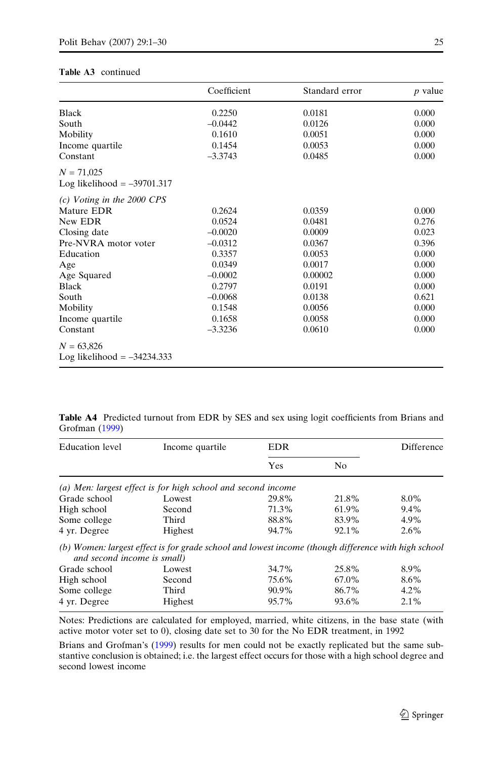#### Table A3 continued

|                               | Coefficient         | Standard error   | $p$ value      |
|-------------------------------|---------------------|------------------|----------------|
| <b>Black</b><br>South         | 0.2250<br>$-0.0442$ | 0.0181<br>0.0126 | 0.000<br>0.000 |
|                               |                     |                  |                |
| Mobility                      | 0.1610              | 0.0051           | 0.000          |
| Income quartile               | 0.1454              | 0.0053           | 0.000          |
| Constant                      | $-3.3743$           | 0.0485           | 0.000          |
| $N = 71,025$                  |                     |                  |                |
| Log likelihood = $-39701.317$ |                     |                  |                |
| $(c)$ Voting in the 2000 CPS  |                     |                  |                |
| Mature EDR                    | 0.2624              | 0.0359           | 0.000          |
| New EDR                       | 0.0524              | 0.0481           | 0.276          |
| Closing date                  | $-0.0020$           | 0.0009           | 0.023          |
| Pre-NVRA motor voter          | $-0.0312$           | 0.0367           | 0.396          |
| Education                     | 0.3357              | 0.0053           | 0.000          |
| Age                           | 0.0349              | 0.0017           | 0.000          |
| Age Squared                   | $-0.0002$           | 0.00002          | 0.000          |
| <b>Black</b>                  | 0.2797              | 0.0191           | 0.000          |
| South                         | $-0.0068$           | 0.0138           | 0.621          |
| Mobility                      | 0.1548              | 0.0056           | 0.000          |
| Income quartile               | 0.1658              | 0.0058           | 0.000          |
| Constant                      | $-3.3236$           | 0.0610           | 0.000          |
| $N = 63,826$                  |                     |                  |                |
| Log likelihood = $-34234.333$ |                     |                  |                |

Table A4 Predicted turnout from EDR by SES and sex using logit coefficients from Brians and Grofman [\(1999](#page-28-0))

| <b>Education</b> level      | Income quartile                                                                                     | <b>EDR</b> |                | Difference |
|-----------------------------|-----------------------------------------------------------------------------------------------------|------------|----------------|------------|
|                             |                                                                                                     | Yes        | N <sub>o</sub> |            |
|                             | (a) Men: largest effect is for high school and second income                                        |            |                |            |
| Grade school                | Lowest                                                                                              | 29.8%      | 21.8%          | 8.0%       |
| High school                 | Second                                                                                              | 71.3%      | 61.9%          | 9.4%       |
| Some college                | Third                                                                                               | 88.8%      | 83.9%          | $4.9\%$    |
| 4 yr. Degree                | Highest                                                                                             | 94.7%      | 92.1%          | $2.6\%$    |
| and second income is small) | (b) Women: largest effect is for grade school and lowest income (though difference with high school |            |                |            |
| Grade school                | Lowest                                                                                              | 34.7%      | 25.8%          | 8.9%       |
| High school                 | Second                                                                                              | 75.6%      | 67.0%          | 8.6%       |
| Some college                | Third                                                                                               | 90.9%      | 86.7%          | $4.2\%$    |
| 4 vr. Degree                | Highest                                                                                             | 95.7%      | 93.6%          | 2.1%       |

Notes: Predictions are calculated for employed, married, white citizens, in the base state (with active motor voter set to 0), closing date set to 30 for the No EDR treatment, in 1992

Brians and Grofman's ([1999\)](#page-28-0) results for men could not be exactly replicated but the same substantive conclusion is obtained; i.e. the largest effect occurs for those with a high school degree and second lowest income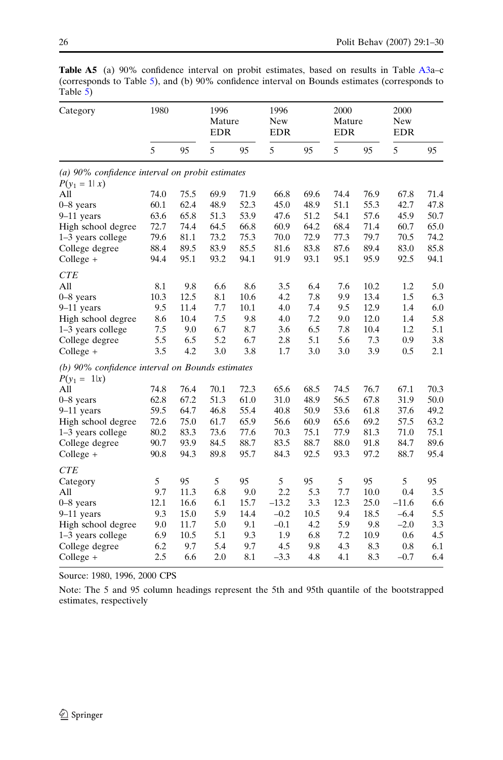| Category                                           | 1980 |      | 1996<br>Mature<br><b>EDR</b> |      | 1996<br>New<br><b>EDR</b> |      | 2000<br>Mature<br><b>EDR</b> |      | 2000<br>New<br><b>EDR</b> |      |
|----------------------------------------------------|------|------|------------------------------|------|---------------------------|------|------------------------------|------|---------------------------|------|
|                                                    | 5    | 95   | 5                            | 95   | 5                         | 95   | 5                            | 95   | 5                         | 95   |
| (a) $90\%$ confidence interval on probit estimates |      |      |                              |      |                           |      |                              |      |                           |      |
| $P(y_1 = 1   x)$                                   |      |      |                              |      |                           |      |                              |      |                           |      |
| All                                                | 74.0 | 75.5 | 69.9                         | 71.9 | 66.8                      | 69.6 | 74.4                         | 76.9 | 67.8                      | 71.4 |
| 0-8 years                                          | 60.1 | 62.4 | 48.9                         | 52.3 | 45.0                      | 48.9 | 51.1                         | 55.3 | 42.7                      | 47.8 |
| $9-11$ years                                       | 63.6 | 65.8 | 51.3                         | 53.9 | 47.6                      | 51.2 | 54.1                         | 57.6 | 45.9                      | 50.7 |
| High school degree                                 | 72.7 | 74.4 | 64.5                         | 66.8 | 60.9                      | 64.2 | 68.4                         | 71.4 | 60.7                      | 65.0 |
| 1–3 years college                                  | 79.6 | 81.1 | 73.2                         | 75.3 | 70.0                      | 72.9 | 77.3                         | 79.7 | 70.5                      | 74.2 |
| College degree                                     | 88.4 | 89.5 | 83.9                         | 85.5 | 81.6                      | 83.8 | 87.6                         | 89.4 | 83.0                      | 85.8 |
| College $+$                                        | 94.4 | 95.1 | 93.2                         | 94.1 | 91.9                      | 93.1 | 95.1                         | 95.9 | 92.5                      | 94.1 |
| <b>CTE</b>                                         |      |      |                              |      |                           |      |                              |      |                           |      |
| All                                                | 8.1  | 9.8  | 6.6                          | 8.6  | 3.5                       | 6.4  | 7.6                          | 10.2 | 1.2                       | 5.0  |
| 0-8 years                                          | 10.3 | 12.5 | 8.1                          | 10.6 | 4.2                       | 7.8  | 9.9                          | 13.4 | 1.5                       | 6.3  |
| $9-11$ years                                       | 9.5  | 11.4 | 7.7                          | 10.1 | 4.0                       | 7.4  | 9.5                          | 12.9 | 1.4                       | 6.0  |
| High school degree                                 | 8.6  | 10.4 | 7.5                          | 9.8  | 4.0                       | 7.2  | 9.0                          | 12.0 | 1.4                       | 5.8  |
| 1–3 years college                                  | 7.5  | 9.0  | 6.7                          | 8.7  | 3.6                       | 6.5  | 7.8                          | 10.4 | 1.2                       | 5.1  |
| College degree                                     | 5.5  | 6.5  | 5.2                          | 6.7  | 2.8                       | 5.1  | 5.6                          | 7.3  | 0.9                       | 3.8  |
| $Collect +$                                        | 3.5  | 4.2  | 3.0                          | 3.8  | 1.7                       | 3.0  | 3.0                          | 3.9  | 0.5                       | 2.1  |
| (b) 90% confidence interval on Bounds estimates    |      |      |                              |      |                           |      |                              |      |                           |      |
| $P(y_1 = 1 x)$                                     |      |      |                              |      |                           |      |                              |      |                           |      |
| All                                                | 74.8 | 76.4 | 70.1                         | 72.3 | 65.6                      | 68.5 | 74.5                         | 76.7 | 67.1                      | 70.3 |
| $0-8$ years                                        | 62.8 | 67.2 | 51.3                         | 61.0 | 31.0                      | 48.9 | 56.5                         | 67.8 | 31.9                      | 50.0 |
| 9-11 years                                         | 59.5 | 64.7 | 46.8                         | 55.4 | 40.8                      | 50.9 | 53.6                         | 61.8 | 37.6                      | 49.2 |
| High school degree                                 | 72.6 | 75.0 | 61.7                         | 65.9 | 56.6                      | 60.9 | 65.6                         | 69.2 | 57.5                      | 63.2 |
| 1–3 years college                                  | 80.2 | 83.3 | 73.6                         | 77.6 | 70.3                      | 75.1 | 77.9                         | 81.3 | 71.0                      | 75.1 |
| College degree                                     | 90.7 | 93.9 | 84.5                         | 88.7 | 83.5                      | 88.7 | 88.0                         | 91.8 | 84.7                      | 89.6 |
| $Collect +$                                        | 90.8 | 94.3 | 89.8                         | 95.7 | 84.3                      | 92.5 | 93.3                         | 97.2 | 88.7                      | 95.4 |
| <b>CTE</b>                                         |      |      |                              |      |                           |      |                              |      |                           |      |
|                                                    | 5    | 95   | 5                            | 95   | 5                         | 95   | 5                            | 95   | 5                         | 95   |
| Category<br>All                                    | 9.7  | 11.3 | 6.8                          | 9.0  | 2.2                       | 5.3  | 7.7                          | 10.0 | 0.4                       | 3.5  |
|                                                    | 12.1 | 16.6 | 6.1                          | 15.7 | $-13.2$                   | 3.3  | 12.3                         | 25.0 | $-11.6$                   | 6.6  |
| 0-8 years<br>$9-11$ years                          | 9.3  | 15.0 | 5.9                          | 14.4 | $-0.2$                    | 10.5 | 9.4                          | 18.5 | $-6.4$                    | 5.5  |
| High school degree                                 | 9.0  | 11.7 | 5.0                          | 9.1  | $-0.1$                    | 4.2  | 5.9                          | 9.8  | $-2.0$                    | 3.3  |
| 1–3 years college                                  | 6.9  | 10.5 | 5.1                          | 9.3  | 1.9                       | 6.8  | 7.2                          | 10.9 | 0.6                       | 4.5  |
| College degree                                     | 6.2  | 9.7  | 5.4                          | 9.7  | 4.5                       | 9.8  | 4.3                          | 8.3  | 0.8                       | 6.1  |
| College $+$                                        | 2.5  | 6.6  | 2.0                          | 8.1  | $-3.3$                    | 4.8  | 4.1                          | 8.3  | $-0.7$                    | 6.4  |
|                                                    |      |      |                              |      |                           |      |                              |      |                           |      |

Table A5 (a) 90% confidence interval on probit estimates, based on results in Table [A3a](#page-23-0)-c (corresponds to Table [5](#page-18-0)), and (b) 90% confidence interval on Bounds estimates (corresponds to Table [5](#page-18-0))

Source: 1980, 1996, 2000 CPS

Note: The 5 and 95 column headings represent the 5th and 95th quantile of the bootstrapped estimates, respectively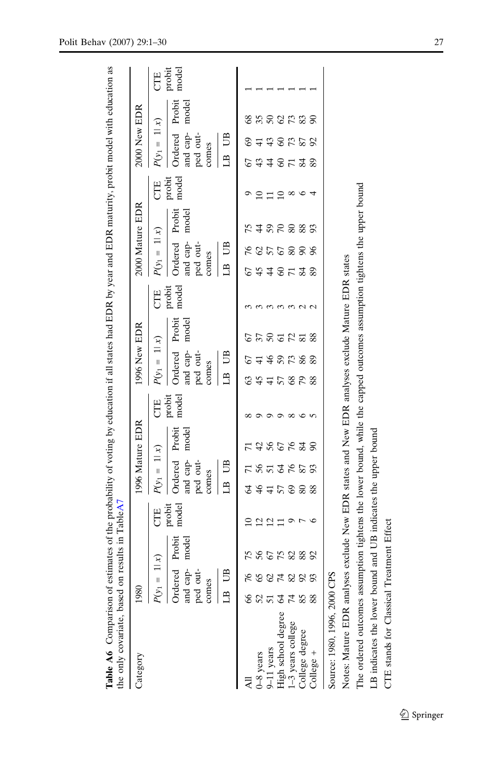| Table A6 Comparison of estimates of the probability of voting by education if all states had EDR by year and EDR maturity, probit model with education as<br>the only covariate, based on results in TableA7 |              |              |                                     |                 |                                          |                 |                 |                 |                              |                  |                 |                 |                              |                  |                 |                 |                                          |                   |                 |
|--------------------------------------------------------------------------------------------------------------------------------------------------------------------------------------------------------------|--------------|--------------|-------------------------------------|-----------------|------------------------------------------|-----------------|-----------------|-----------------|------------------------------|------------------|-----------------|-----------------|------------------------------|------------------|-----------------|-----------------|------------------------------------------|-------------------|-----------------|
| Category                                                                                                                                                                                                     | 1980         |              |                                     |                 |                                          | 1996 Mature EDR |                 |                 |                              |                  | 1996 New EDR    |                 |                              |                  | 2000 Mature EDR |                 |                                          | 2000 New EDR      |                 |
|                                                                                                                                                                                                              | $P(y_1 =$    |              | $\frac{1}{\lambda}$                 | CTE             | $P(y_1 =$                                | 1/x             |                 | CTE             |                              | $P(y_1 = 1   x)$ |                 | CTE             |                              | $P(y_1 = 1   x)$ |                 | E               | $P(y_1 =$                                | $1\vert x\rangle$ | CTE             |
|                                                                                                                                                                                                              | comes        | Ordered      | and cap-model<br>ped out-<br>Probit | probit<br>model | and cap-<br>Ordered<br>ped out-<br>comes |                 | Probit<br>model | model<br>probit | ped out-<br>Ordered<br>comes | and cap-         | Probit<br>model | model<br>probit | ped out-<br>Ordered<br>comes | and cap-         | model<br>Probit | model<br>probit | and cap-<br>Ordered<br>ped out-<br>comes | Probit<br>model   | probit<br>model |
|                                                                                                                                                                                                              | $\mathbf{B}$ | $\mathbb{B}$ |                                     |                 | $\Box$                                   | $\mathbb{B}$    |                 |                 | $\mathbb{H}$                 | $\mathbb{B}$     |                 |                 | $\mathbb{H}$                 | $\mathbb{B}$     |                 |                 | B<br>$\Box$                              |                   |                 |
|                                                                                                                                                                                                              | \$           |              |                                     |                 | $\mathcal{Z}$                            |                 |                 |                 | 63                           | 2                |                 |                 | 2                            | 76               | 75              |                 | $\mathcal{S}$<br>2                       | $8^{\circ}$       |                 |
| $0-8$ years                                                                                                                                                                                                  |              |              |                                     |                 |                                          |                 |                 |                 |                              |                  | $\frac{27}{50}$ |                 |                              |                  |                 |                 |                                          |                   |                 |
| 9-11 years                                                                                                                                                                                                   |              |              |                                     | $\overline{2}$  |                                          | 48<br>56        |                 |                 |                              |                  |                 |                 |                              | $\frac{65}{25}$  | $\mathcal{S}$   |                 |                                          |                   |                 |
| High school degree                                                                                                                                                                                           |              |              | たかのため & &                           |                 | 4458                                     | $\mathcal{L}$   | 67              |                 | 558888                       | 59               | 57              |                 | 7738                         | $\mathcal{Q}$    | $\mathcal{E}$   | $\Xi$           | $\mathcal{S}$<br>348528                  | 673               |                 |
| 1-3 years college                                                                                                                                                                                            |              |              |                                     | $\circ$         |                                          | 76              |                 | $\infty$        |                              |                  |                 | $\omega$        |                              |                  | 80              | $^{\circ}$      |                                          |                   |                 |
| College degree                                                                                                                                                                                               |              |              |                                     | $\overline{r}$  | 80                                       | 84              |                 | $\circ$         |                              | 86               | 81              | $\sim$ $\sim$   |                              | 8                | $88\,$          | ৩               |                                          | 83                |                 |
| College +                                                                                                                                                                                                    | 88           |              |                                     |                 | 88                                       |                 |                 |                 |                              | 89               | 88              |                 |                              | $8^{\circ}$      | 93              |                 | 92                                       | $\infty$          |                 |
| Source: 1980, 1996, 2000 CPS                                                                                                                                                                                 |              |              |                                     |                 |                                          |                 |                 |                 |                              |                  |                 |                 |                              |                  |                 |                 |                                          |                   |                 |
| Notes: Mature EDR analyses exclude New EDR states and New EDR analyses exclude Mature EDR states                                                                                                             |              |              |                                     |                 |                                          |                 |                 |                 |                              |                  |                 |                 |                              |                  |                 |                 |                                          |                   |                 |
| The ordered outcomes assumption tightens the lower bound, while the capped outcomes assumption tightens the upper bound                                                                                      |              |              |                                     |                 |                                          |                 |                 |                 |                              |                  |                 |                 |                              |                  |                 |                 |                                          |                   |                 |
| LB indicates the lower bound and UB indicates the upper bound                                                                                                                                                |              |              |                                     |                 |                                          |                 |                 |                 |                              |                  |                 |                 |                              |                  |                 |                 |                                          |                   |                 |
| CTE stands for Classical Treatment Effect                                                                                                                                                                    |              |              |                                     |                 |                                          |                 |                 |                 |                              |                  |                 |                 |                              |                  |                 |                 |                                          |                   |                 |

<span id="page-26-0"></span>Polit Behav (2007) 29:1–30 27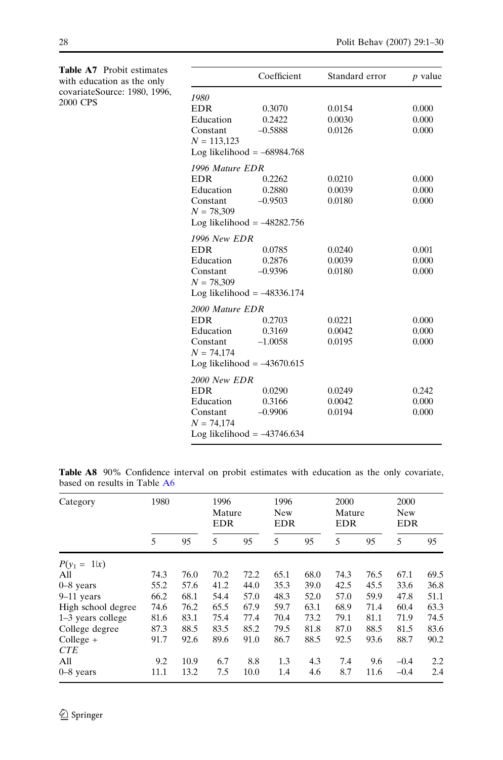<span id="page-27-0"></span>

| <b>Table A7</b> Probit estimates<br>with education as the only<br>covariateSource: 1980, 1996,<br>2000 CPS |                               | Coefficient | Standard error | <i>p</i> value |  |  |  |  |
|------------------------------------------------------------------------------------------------------------|-------------------------------|-------------|----------------|----------------|--|--|--|--|
|                                                                                                            | 1980                          |             |                |                |  |  |  |  |
|                                                                                                            | <b>EDR</b>                    | 0.3070      | 0.0154         | 0.000          |  |  |  |  |
|                                                                                                            | Education                     | 0.2422      | 0.0030         | 0.000          |  |  |  |  |
|                                                                                                            | Constant<br>$N = 113,123$     | $-0.5888$   | 0.0126         | 0.000          |  |  |  |  |
|                                                                                                            | Log likelihood = $-68984.768$ |             |                |                |  |  |  |  |
|                                                                                                            | 1996 Mature EDR               |             |                |                |  |  |  |  |
|                                                                                                            | <b>EDR</b>                    | 0.2262      | 0.0210         | 0.000          |  |  |  |  |
|                                                                                                            | Education                     | 0.2880      | 0.0039         | 0.000          |  |  |  |  |
|                                                                                                            | Constant<br>$N = 78,309$      | $-0.9503$   | 0.0180         | 0.000          |  |  |  |  |
|                                                                                                            | Log likelihood = $-48282.756$ |             |                |                |  |  |  |  |
|                                                                                                            | 1996 New EDR                  |             |                |                |  |  |  |  |
|                                                                                                            | <b>EDR</b>                    | 0.0785      | 0.0240         | 0.001          |  |  |  |  |
|                                                                                                            | Education                     | 0.2876      | 0.0039         | 0.000          |  |  |  |  |
|                                                                                                            | Constant                      | $-0.9396$   | 0.0180         | 0.000          |  |  |  |  |
|                                                                                                            | $N = 78,309$                  |             |                |                |  |  |  |  |
|                                                                                                            | Log likelihood = $-48336.174$ |             |                |                |  |  |  |  |
|                                                                                                            | 2000 Mature EDR               |             |                |                |  |  |  |  |
|                                                                                                            | <b>EDR</b>                    | 0.2703      | 0.0221         | 0.000          |  |  |  |  |
|                                                                                                            | Education                     | 0.3169      | 0.0042         | 0.000          |  |  |  |  |
|                                                                                                            | Constant                      | $-1.0058$   | 0.0195         | 0.000          |  |  |  |  |
|                                                                                                            | $N = 74,174$                  |             |                |                |  |  |  |  |
|                                                                                                            | Log likelihood = $-43670.615$ |             |                |                |  |  |  |  |
|                                                                                                            | 2000 New EDR                  |             |                |                |  |  |  |  |
|                                                                                                            | <b>EDR</b>                    | 0.0290      | 0.0249         | 0.242          |  |  |  |  |
|                                                                                                            | Education                     | 0.3166      | 0.0042         | 0.000          |  |  |  |  |
|                                                                                                            | Constant                      | $-0.9906$   | 0.0194         | 0.000          |  |  |  |  |
|                                                                                                            | $N = 74,174$                  |             |                |                |  |  |  |  |
|                                                                                                            | Log likelihood = $-43746.634$ |             |                |                |  |  |  |  |

Table A8 90% Confidence interval on probit estimates with education as the only covariate, based on results in Table [A6](#page-26-0)

| Category           | 1980 |      | 1996<br>Mature<br><b>EDR</b> |      | 1996<br>New<br><b>EDR</b> |      | 2000<br>Mature<br><b>EDR</b> |      | 2000<br><b>New</b><br><b>EDR</b> |      |
|--------------------|------|------|------------------------------|------|---------------------------|------|------------------------------|------|----------------------------------|------|
|                    | 5    | 95   | 5                            | 95   | 5                         | 95   | 5                            | 95   | 5                                | 95   |
| $P(y_1 = 1 x)$     |      |      |                              |      |                           |      |                              |      |                                  |      |
| All                | 74.3 | 76.0 | 70.2                         | 72.2 | 65.1                      | 68.0 | 74.3                         | 76.5 | 67.1                             | 69.5 |
| $0 - 8$ years      | 55.2 | 57.6 | 41.2                         | 44.0 | 35.3                      | 39.0 | 42.5                         | 45.5 | 33.6                             | 36.8 |
| $9-11$ years       | 66.2 | 68.1 | 54.4                         | 57.0 | 48.3                      | 52.0 | 57.0                         | 59.9 | 47.8                             | 51.1 |
| High school degree | 74.6 | 76.2 | 65.5                         | 67.9 | 59.7                      | 63.1 | 68.9                         | 71.4 | 60.4                             | 63.3 |
| 1–3 years college  | 81.6 | 83.1 | 75.4                         | 77.4 | 70.4                      | 73.2 | 79.1                         | 81.1 | 71.9                             | 74.5 |
| College degree     | 87.3 | 88.5 | 83.5                         | 85.2 | 79.5                      | 81.8 | 87.0                         | 88.5 | 81.5                             | 83.6 |
| $Collect +$        | 91.7 | 92.6 | 89.6                         | 91.0 | 86.7                      | 88.5 | 92.5                         | 93.6 | 88.7                             | 90.2 |
| <b>CTE</b>         |      |      |                              |      |                           |      |                              |      |                                  |      |
| All                | 9.2  | 10.9 | 6.7                          | 8.8  | 1.3                       | 4.3  | 7.4                          | 9.6  | $-0.4$                           | 2.2  |
| $0 - 8$ years      | 11.1 | 13.2 | 7.5                          | 10.0 | 1.4                       | 4.6  | 8.7                          | 11.6 | $-0.4$                           | 2.4  |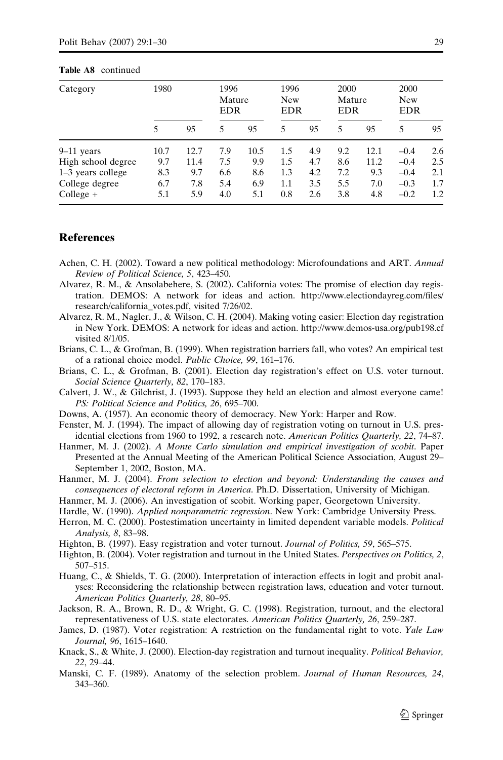| Category            | 1980 |      | 1996<br>Mature<br><b>EDR</b> |      | 1996<br>New<br><b>EDR</b> |     | 2000<br>Mature<br><b>EDR</b> |      | 2000<br><b>New</b><br><b>EDR</b> |     |
|---------------------|------|------|------------------------------|------|---------------------------|-----|------------------------------|------|----------------------------------|-----|
|                     | 5    | 95   | 5                            | 95   | 5                         | 95  | 5                            | 95   | 5                                | 95  |
| $9-11$ years        | 10.7 | 12.7 | 7.9                          | 10.5 | 1.5                       | 4.9 | 9.2                          | 12.1 | $-0.4$                           | 2.6 |
| High school degree  | 9.7  | 11.4 | 7.5                          | 9.9  | 1.5                       | 4.7 | 8.6                          | 11.2 | $-0.4$                           | 2.5 |
| $1-3$ years college | 8.3  | 9.7  | 6.6                          | 8.6  | 1.3                       | 4.2 | 7.2                          | 9.3  | $-0.4$                           | 2.1 |
| College degree      | 6.7  | 7.8  | 5.4                          | 6.9  | 1.1                       | 3.5 | 5.5                          | 7.0  | $-0.3$                           | 1.7 |
| $Collect +$         | 5.1  | 5.9  | 4.0                          | 5.1  | 0.8                       | 2.6 | 3.8                          | 4.8  | $-0.2$                           | 1.2 |

#### <span id="page-28-0"></span>Table A8 continued

#### **References**

- Achen, C. H. (2002). Toward a new political methodology: Microfoundations and ART. Annual Review of Political Science, 5, 423–450.
- Alvarez, R. M., & Ansolabehere, S. (2002). California votes: The promise of election day registration. DEMOS: A network for ideas and action. http://www.electiondayreg.com/files/ research/california\_votes.pdf, visited 7/26/02.
- Alvarez, R. M., Nagler, J., & Wilson, C. H. (2004). Making voting easier: Election day registration in New York. DEMOS: A network for ideas and action. http://www.demos-usa.org/pub198.cf visited 8/1/05.
- Brians, C. L., & Grofman, B. (1999). When registration barriers fall, who votes? An empirical test of a rational choice model. Public Choice, 99, 161–176.
- Brians, C. L., & Grofman, B. (2001). Election day registration's effect on U.S. voter turnout. Social Science Quarterly, 82, 170–183.
- Calvert, J. W., & Gilchrist, J. (1993). Suppose they held an election and almost everyone came! PS: Political Science and Politics, 26, 695–700.
- Downs, A. (1957). An economic theory of democracy. New York: Harper and Row.
- Fenster, M. J. (1994). The impact of allowing day of registration voting on turnout in U.S. presidential elections from 1960 to 1992, a research note. American Politics Quarterly, 22, 74–87.
- Hanmer, M. J. (2002). A Monte Carlo simulation and empirical investigation of scobit. Paper Presented at the Annual Meeting of the American Political Science Association, August 29– September 1, 2002, Boston, MA.
- Hanmer, M. J. (2004). From selection to election and beyond: Understanding the causes and consequences of electoral reform in America. Ph.D. Dissertation, University of Michigan.
- Hanmer, M. J. (2006). An investigation of scobit. Working paper, Georgetown University.
- Hardle, W. (1990). Applied nonparametric regression. New York: Cambridge University Press.
- Herron, M. C. (2000). Postestimation uncertainty in limited dependent variable models. Political Analysis, 8, 83–98.
- Highton, B. (1997). Easy registration and voter turnout. *Journal of Politics*, 59, 565–575.
- Highton, B. (2004). Voter registration and turnout in the United States. Perspectives on Politics, 2, 507–515.
- Huang, C., & Shields, T. G. (2000). Interpretation of interaction effects in logit and probit analyses: Reconsidering the relationship between registration laws, education and voter turnout. American Politics Quarterly, 28, 80–95.
- Jackson, R. A., Brown, R. D., & Wright, G. C. (1998). Registration, turnout, and the electoral representativeness of U.S. state electorates. American Politics Quarterly, 26, 259–287.
- James, D. (1987). Voter registration: A restriction on the fundamental right to vote. Yale Law Journal, 96, 1615–1640.
- Knack, S., & White, J. (2000). Election-day registration and turnout inequality. Political Behavior, 22, 29–44.
- Manski, C. F. (1989). Anatomy of the selection problem. Journal of Human Resources, 24, 343–360.